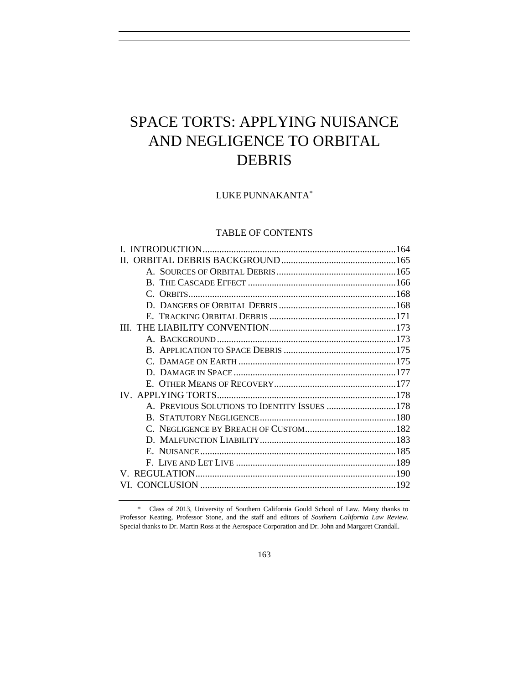# SPACE TORTS: APPLYING NUISANCE AND NEGLIGENCE TO ORBITAL DEBRIS

LUKE PUNNAKANTA\*

# TABLE OF CONTENTS

| П                                            |  |
|----------------------------------------------|--|
|                                              |  |
|                                              |  |
|                                              |  |
|                                              |  |
|                                              |  |
|                                              |  |
|                                              |  |
|                                              |  |
|                                              |  |
|                                              |  |
|                                              |  |
|                                              |  |
| A. PREVIOUS SOLUTIONS TO IDENTITY ISSUES 178 |  |
|                                              |  |
|                                              |  |
|                                              |  |
|                                              |  |
|                                              |  |
|                                              |  |
|                                              |  |
|                                              |  |

\* Class of 2013, University of Southern California Gould School of Law. Many thanks to Professor Keating, Professor Stone, and the staff and editors of *Southern California Law Review*. Special thanks to Dr. Martin Ross at the Aerospace Corporation and Dr. John and Margaret Crandall.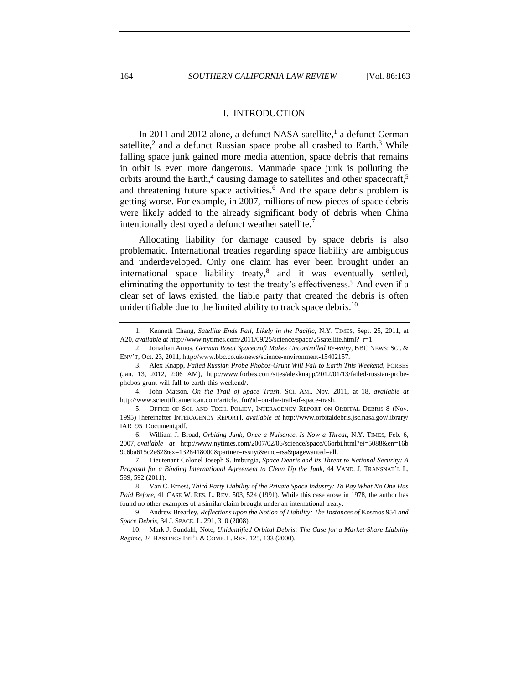#### <span id="page-1-8"></span><span id="page-1-7"></span><span id="page-1-5"></span><span id="page-1-4"></span><span id="page-1-3"></span><span id="page-1-2"></span><span id="page-1-1"></span>I. INTRODUCTION

<span id="page-1-0"></span>In 2011 and 2012 alone, a defunct NASA satellite,<sup>1</sup> a defunct German satellite,<sup>2</sup> and a defunct Russian space probe all crashed to Earth.<sup>3</sup> While falling space junk gained more media attention, space debris that remains in orbit is even more dangerous. Manmade space junk is polluting the orbits around the Earth,<sup>4</sup> causing damage to satellites and other spacecraft,<sup>5</sup> and threatening future space activities.<sup>6</sup> And the space debris problem is getting worse. For example, in 2007, millions of new pieces of space debris were likely added to the already significant body of debris when China intentionally destroyed a defunct weather satellite.<sup>7</sup>

<span id="page-1-6"></span>Allocating liability for damage caused by space debris is also problematic. International treaties regarding space liability are ambiguous and underdeveloped. Only one claim has ever been brought under an international space liability treaty, $8$  and it was eventually settled, eliminating the opportunity to test the treaty's effectiveness.<sup>9</sup> And even if a clear set of laws existed, the liable party that created the debris is often unidentifiable due to the limited ability to track space debris.<sup>10</sup>

<sup>1.</sup> Kenneth Chang, *Satellite Ends Fall, Likely in the Pacific*, N.Y. TIMES, Sept. 25, 2011, at A20, *available at* http://www.nytimes.com/2011/09/25/science/space/25satellite.html?\_r=1.

<sup>2.</sup> Jonathan Amos, *German Rosat Spacecraft Makes Uncontrolled Re-entry*, BBC NEWS: SCI. & ENV'T, Oct. 23, 2011, http://www.bbc.co.uk/news/science-environment-15402157.

<sup>3.</sup> Alex Knapp, *Failed Russian Probe Phobos-Grunt Will Fall to Earth This Weekend*, FORBES (Jan. 13, 2012, 2:06 AM), http://www.forbes.com/sites/alexknapp/2012/01/13/failed-russian-probephobos-grunt-will-fall-to-earth-this-weekend/.

<sup>4.</sup> John Matson, *On the Trail of Space Trash*, SCI. AM., Nov. 2011, at 18, *available at* http://www.scientificamerican.com/article.cfm?id=on-the-trail-of-space-trash.

<sup>5.</sup> OFFICE OF SCI. AND TECH. POLICY, INTERAGENCY REPORT ON ORBITAL DEBRIS 8 (Nov. 1995) [hereinafter INTERAGENCY REPORT], *available at* http://www.orbitaldebris.jsc.nasa.gov/library/ IAR\_95\_Document.pdf.

<sup>6.</sup> William J. Broad, *Orbiting Junk, Once a Nuisance, Is Now a Threat*, N.Y. TIMES, Feb. 6, 2007, *available at* http://www.nytimes.com/2007/02/06/science/space/06orbi.html?ei=5088&en=16b 9c6ba615c2e62&ex=1328418000&partner=rssnyt&emc=rss&pagewanted=all.

<sup>7.</sup> Lieutenant Colonel Joseph S. Imburgia, *Space Debris and Its Threat to National Security: A Proposal for a Binding International Agreement to Clean Up the Junk*, 44 VAND. J. TRANSNAT'L L. 589, 592 (2011).

<sup>8.</sup> Van C. Ernest, *Third Party Liability of the Private Space Industry: To Pay What No One Has Paid Before*, 41 CASE W. RES. L. REV. 503, 524 (1991). While this case arose in 1978, the author has found no other examples of a similar claim brought under an international treaty.

<sup>9.</sup> Andrew Brearley, *Reflections upon the Notion of Liability: The Instances of* Kosmos 954 *and Space Debris*, 34 J. SPACE. L. 291, 310 (2008).

<sup>10.</sup> Mark J. Sundahl, Note, *Unidentified Orbital Debris: The Case for a Market-Share Liability Regime*, 24 HASTINGS INT'L & COMP. L. REV. 125, 133 (2000).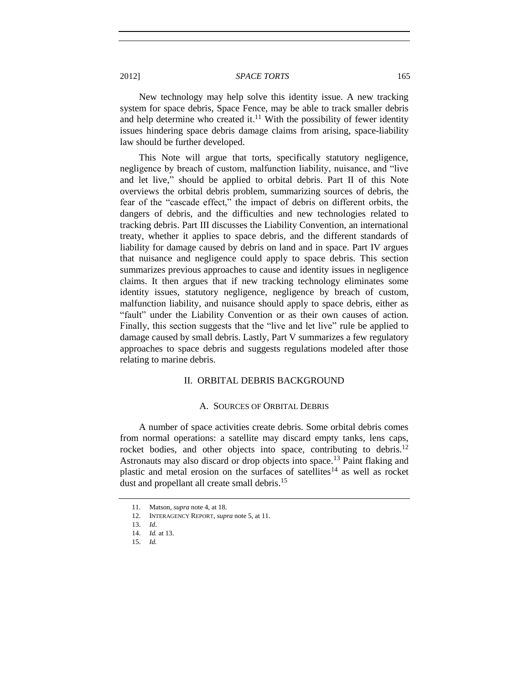New technology may help solve this identity issue. A new tracking system for space debris, Space Fence, may be able to track smaller debris and help determine who created it.<sup>11</sup> With the possibility of fewer identity issues hindering space debris damage claims from arising, space-liability law should be further developed.

This Note will argue that torts, specifically statutory negligence, negligence by breach of custom, malfunction liability, nuisance, and "live and let live," should be applied to orbital debris. Part II of this Note overviews the orbital debris problem, summarizing sources of debris, the fear of the "cascade effect," the impact of debris on different orbits, the dangers of debris, and the difficulties and new technologies related to tracking debris. Part III discusses the Liability Convention, an international treaty, whether it applies to space debris, and the different standards of liability for damage caused by debris on land and in space. Part IV argues that nuisance and negligence could apply to space debris. This section summarizes previous approaches to cause and identity issues in negligence claims. It then argues that if new tracking technology eliminates some identity issues, statutory negligence, negligence by breach of custom, malfunction liability, and nuisance should apply to space debris, either as "fault" under the Liability Convention or as their own causes of action. Finally, this section suggests that the "live and let live" rule be applied to damage caused by small debris. Lastly, Part V summarizes a few regulatory approaches to space debris and suggests regulations modeled after those relating to marine debris.

## II. ORBITAL DEBRIS BACKGROUND

#### A. SOURCES OF ORBITAL DEBRIS

<span id="page-2-1"></span><span id="page-2-0"></span>A number of space activities create debris. Some orbital debris comes from normal operations: a satellite may discard empty tanks, lens caps, rocket bodies, and other objects into space, contributing to debris.<sup>12</sup> Astronauts may also discard or drop objects into space.<sup>13</sup> Paint flaking and plastic and metal erosion on the surfaces of satellites $14$  as well as rocket dust and propellant all create small debris.<sup>15</sup>

<sup>11.</sup> Matson, *supra* not[e 4,](#page-1-1) at 18.

<sup>12.</sup> INTERAGENCY REPORT, *supra* not[e 5,](#page-1-2) at 11.

<sup>13.</sup> *Id*.

<sup>14.</sup> *Id.* at 13.

<sup>15.</sup> *Id.*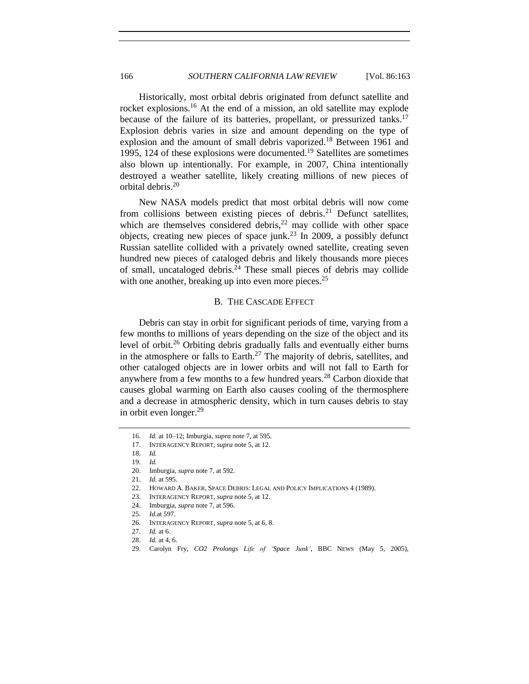Historically, most orbital debris originated from defunct satellite and rocket explosions.<sup>16</sup> At the end of a mission, an old satellite may explode because of the failure of its batteries, propellant, or pressurized tanks.<sup>17</sup> Explosion debris varies in size and amount depending on the type of explosion and the amount of small debris vaporized.<sup>18</sup> Between 1961 and 1995, 124 of these explosions were documented.<sup>19</sup> Satellites are sometimes also blown up intentionally. For example, in 2007, China intentionally destroyed a weather satellite, likely creating millions of new pieces of orbital debris.<sup>20</sup>

New NASA models predict that most orbital debris will now come from collisions between existing pieces of debris.<sup>21</sup> Defunct satellites, which are themselves considered debris, $^{22}$  may collide with other space objects, creating new pieces of space junk.<sup>23</sup> In 2009, a possibly defunct Russian satellite collided with a privately owned satellite, creating seven hundred new pieces of cataloged debris and likely thousands more pieces of small, uncataloged debris. $24$  These small pieces of debris may collide with one another, breaking up into even more pieces. $25$ 

# <span id="page-3-2"></span>B. THE CASCADE EFFECT

<span id="page-3-0"></span>Debris can stay in orbit for significant periods of time, varying from a few months to millions of years depending on the size of the object and its level of orbit.<sup>26</sup> Orbiting debris gradually falls and eventually either burns in the atmosphere or falls to Earth.<sup>27</sup> The majority of debris, satellites, and other cataloged objects are in lower orbits and will not fall to Earth for anywhere from a few months to a few hundred years.<sup>28</sup> Carbon dioxide that causes global warming on Earth also causes cooling of the thermosphere and a decrease in atmospheric density, which in turn causes debris to stay in orbit even longer.<sup>29</sup>

<span id="page-3-1"></span><sup>16.</sup> *Id.* at 10–12; Imburgia, *supra* not[e 7,](#page-1-3) at 595.

<sup>17.</sup> INTERAGENCY REPORT, *supra* not[e 5,](#page-1-2) at 12.

<sup>18.</sup> *Id.*

<sup>19.</sup> *Id.*

<sup>20.</sup> Imburgia, *supra* not[e 7,](#page-1-3) at 592.

<sup>21.</sup> *Id.* at 595.

<sup>22.</sup> HOWARD A. BAKER, SPACE DEBRIS: LEGAL AND POLICY IMPLICATIONS 4 (1989).

<sup>23.</sup> INTERAGENCY REPORT, *supra* not[e 5,](#page-1-2) at 12.

<sup>24.</sup> Imburgia, *supra* not[e 7,](#page-1-3) at 596.

<sup>25.</sup> *Id.*at 597.

<sup>26.</sup> INTERAGENCY REPORT, *supra* not[e 5,](#page-1-2) at 6, 8.

<sup>27.</sup> *Id.* at 6.

<sup>28.</sup> *Id.* at 4, 6.

<sup>29.</sup> Carolyn Fry, *CO2 Prolongs Life of 'Space Junk'*, BBC NEWS (May 5, 2005),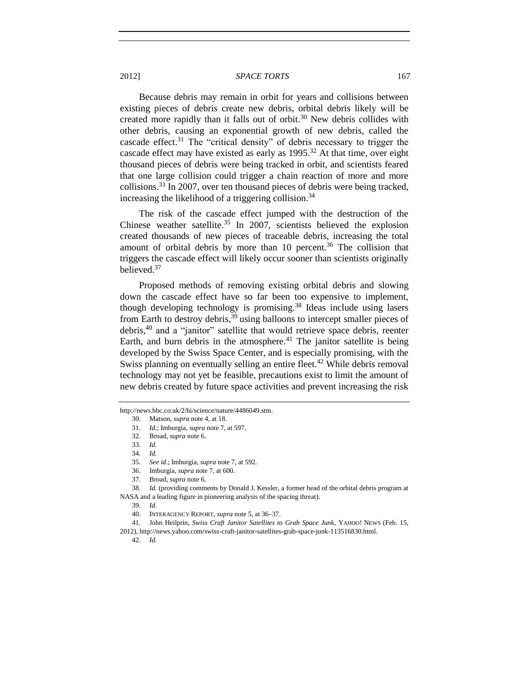Because debris may remain in orbit for years and collisions between existing pieces of debris create new debris, orbital debris likely will be created more rapidly than it falls out of orbit.<sup>30</sup> New debris collides with other debris, causing an exponential growth of new debris, called the cascade effect.<sup>31</sup> The "critical density" of debris necessary to trigger the cascade effect may have existed as early as  $1995$ <sup>32</sup> At that time, over eight thousand pieces of debris were being tracked in orbit, and scientists feared that one large collision could trigger a chain reaction of more and more collisions.<sup>33</sup> In 2007, over ten thousand pieces of debris were being tracked, increasing the likelihood of a triggering collision.<sup>34</sup>

The risk of the cascade effect jumped with the destruction of the Chinese weather satellite.<sup>35</sup> In 2007, scientists believed the explosion created thousands of new pieces of traceable debris, increasing the total amount of orbital debris by more than 10 percent.<sup>36</sup> The collision that triggers the cascade effect will likely occur sooner than scientists originally believed.<sup>37</sup>

Proposed methods of removing existing orbital debris and slowing down the cascade effect have so far been too expensive to implement, though developing technology is promising.<sup>38</sup> Ideas include using lasers from Earth to destroy debris,  $39$  using balloons to intercept smaller pieces of debris,<sup>40</sup> and a "janitor" satellite that would retrieve space debris, reenter Earth, and burn debris in the atmosphere. $41$  The janitor satellite is being developed by the Swiss Space Center, and is especially promising, with the Swiss planning on eventually selling an entire fleet.<sup>42</sup> While debris removal technology may not yet be feasible, precautions exist to limit the amount of new debris created by future space activities and prevent increasing the risk

40. INTERAGENCY REPORT, *supra* not[e 5,](#page-1-2) at 36–37.

42. *Id.*

http://news.bbc.co.uk/2/hi/science/nature/4486049.stm.

<span id="page-4-0"></span><sup>30.</sup> Matson, *supra* not[e 4,](#page-1-1) at 18.

<sup>31.</sup> *Id.*; Imburgia, *supra* not[e 7,](#page-1-3) at 597.

<sup>32.</sup> Broad, *supra* not[e 6.](#page-1-4)

<sup>33.</sup> *Id.*

<sup>34.</sup> *Id.*

<sup>35.</sup> *See id.*; Imburgia, *supra* note [7,](#page-1-3) at 592.

<sup>36.</sup> Imburgia, *supra* not[e 7,](#page-1-3) at 600.

<sup>37.</sup> Broad, *supra* not[e 6.](#page-1-4)

<sup>38.</sup> *Id.* (providing comments by Donald J. Kessler, a former head of the orbital debris program at NASA and a leading figure in pioneering analysis of the spacing threat).

<sup>39.</sup> *Id.*

<sup>41.</sup> John Heilprin, *Swiss Craft Janitor Satellites to Grab Space Junk*, YAHOO! NEWS (Feb. 15,

<sup>2012),</sup> http://news.yahoo.com/swiss-craft-janitor-satellites-grab-space-junk-113516830.html.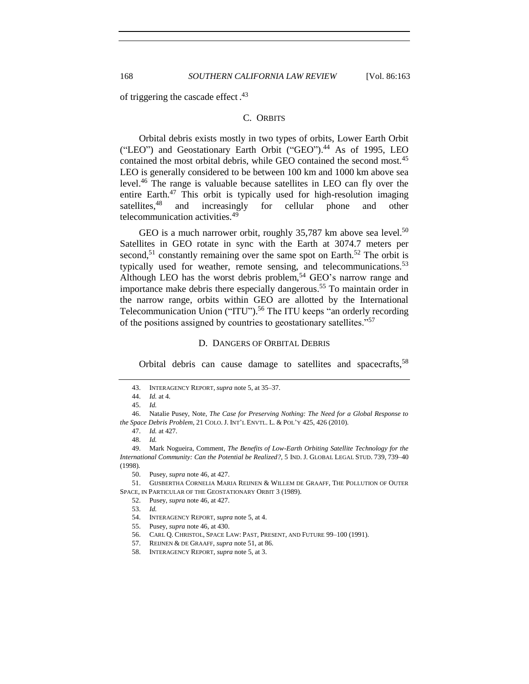<span id="page-5-0"></span>of triggering the cascade effect.<sup>43</sup>

#### C. ORBITS

<span id="page-5-2"></span>Orbital debris exists mostly in two types of orbits, Lower Earth Orbit ("LEO") and Geostationary Earth Orbit ("GEO").<sup>44</sup> As of 1995, LEO contained the most orbital debris, while GEO contained the second most.<sup>45</sup> LEO is generally considered to be between 100 km and 1000 km above sea level.<sup>46</sup> The range is valuable because satellites in LEO can fly over the entire Earth. $47$  This orbit is typically used for high-resolution imaging satellites,<sup>48</sup> and increasingly for cellular phone and other telecommunication activities.<sup>49</sup>

<span id="page-5-3"></span>GEO is a much narrower orbit, roughly  $35,787$  km above sea level.<sup>50</sup> Satellites in GEO rotate in sync with the Earth at 3074.7 meters per second,<sup>51</sup> constantly remaining over the same spot on Earth.<sup>52</sup> The orbit is typically used for weather, remote sensing, and telecommunications.<sup>53</sup> Although LEO has the worst debris problem,<sup>54</sup> GEO's narrow range and importance make debris there especially dangerous.<sup>55</sup> To maintain order in the narrow range, orbits within GEO are allotted by the International Telecommunication Union ("ITU").<sup>56</sup> The ITU keeps "an orderly recording of the positions assigned by countries to geostationary satellites."<sup>57</sup>

#### <span id="page-5-4"></span>D. DANGERS OF ORBITAL DEBRIS

<span id="page-5-1"></span>Orbital debris can cause damage to satellites and spacecrafts,<sup>58</sup>

49. Mark Nogueira, Comment, *The Benefits of Low-Earth Orbiting Satellite Technology for the International Community: Can the Potential be Realized?*, 5 IND. J. GLOBAL LEGAL STUD. 739, 739–40 (1998).

51. GIJSBERTHA CORNELIA MARIA REIJNEN & WILLEM DE GRAAFF, THE POLLUTION OF OUTER SPACE, IN PARTICULAR OF THE GEOSTATIONARY ORBIT 3 (1989).

55. Pusey, *supra* not[e 46,](#page-5-2) at 430.

<sup>43.</sup> INTERAGENCY REPORT, *supra* not[e 5,](#page-1-2) at 35–37.

<sup>44.</sup> *Id.* at 4.

<sup>45.</sup> *Id.*

<sup>46.</sup> Natalie Pusey, Note, *The Case for Preserving Nothing: The Need for a Global Response to the Space Debris Problem*, 21 COLO. J. INT'L ENVTL. L. & POL'Y 425, 426 (2010).

<sup>47.</sup> *Id.* at 427.

<sup>48.</sup> *Id.*

<sup>50.</sup> Pusey, *supra* not[e 46,](#page-5-2) at 427.

<sup>52.</sup> Pusey, *supra* not[e 46,](#page-5-2) at 427.

<sup>53.</sup> *Id.*

<sup>54.</sup> INTERAGENCY REPORT, *supra* not[e 5,](#page-1-2) at 4.

<sup>56.</sup> CARL Q. CHRISTOL, SPACE LAW: PAST, PRESENT, AND FUTURE 99–100 (1991).

<sup>57.</sup> REIJNEN & DE GRAAFF, *supra* not[e 51,](#page-5-3) at 86.

<sup>58.</sup> INTERAGENCY REPORT, *supra* not[e 5,](#page-1-2) at 3.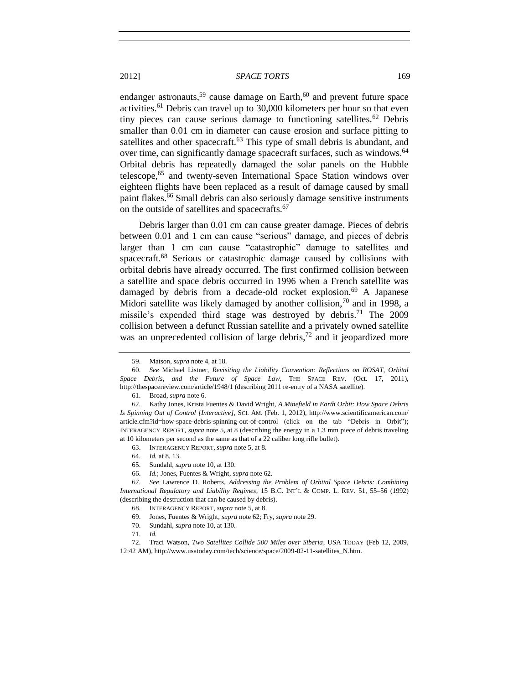<span id="page-6-2"></span><span id="page-6-0"></span>endanger astronauts,<sup>59</sup> cause damage on Earth,<sup>60</sup> and prevent future space activities.<sup>61</sup> Debris can travel up to 30,000 kilometers per hour so that even tiny pieces can cause serious damage to functioning satellites.<sup>62</sup> Debris smaller than 0.01 cm in diameter can cause erosion and surface pitting to satellites and other spacecraft.<sup>63</sup> This type of small debris is abundant, and over time, can significantly damage spacecraft surfaces, such as windows.<sup>64</sup> Orbital debris has repeatedly damaged the solar panels on the Hubble telescope,<sup>65</sup> and twenty-seven International Space Station windows over eighteen flights have been replaced as a result of damage caused by small paint flakes.<sup>66</sup> Small debris can also seriously damage sensitive instruments on the outside of satellites and spacecrafts.<sup>67</sup>

<span id="page-6-1"></span>Debris larger than 0.01 cm can cause greater damage. Pieces of debris between 0.01 and 1 cm can cause "serious" damage, and pieces of debris larger than 1 cm can cause "catastrophic" damage to satellites and spacecraft.<sup>68</sup> Serious or catastrophic damage caused by collisions with orbital debris have already occurred. The first confirmed collision between a satellite and space debris occurred in 1996 when a French satellite was damaged by debris from a decade-old rocket explosion.<sup>69</sup> A Japanese Midori satellite was likely damaged by another collision,  $70$  and in 1998, a missile's expended third stage was destroyed by debris.<sup>71</sup> The 2009 collision between a defunct Russian satellite and a privately owned satellite was an unprecedented collision of large debris,<sup>72</sup> and it jeopardized more

63. INTERAGENCY REPORT, *supra* not[e 5,](#page-1-2) at 8.

- 65. Sundahl, *supra* not[e 10,](#page-1-5) at 130.
- 66. *Id.*; Jones, Fuentes & Wright, *supra* not[e 62.](#page-6-0)

67. *See* Lawrence D. Roberts, *Addressing the Problem of Orbital Space Debris: Combining International Regulatory and Liability Regimes*, 15 B.C. INT'L & COMP. L. REV. 51, 55–56 (1992) (describing the destruction that can be caused by debris).

- 69. Jones, Fuentes & Wright, *supra* not[e 62;](#page-6-0) Fry, *supra* not[e 29.](#page-3-1)
- 70. Sundahl, *supra* not[e 10,](#page-1-5) at 130.
- 71. *Id.*

72. Traci Watson, *Two Satellites Collide 500 Miles over Siberia*, USA TODAY (Feb 12, 2009, 12:42 AM), http://www.usatoday.com/tech/science/space/2009-02-11-satellites\_N.htm.

<sup>59.</sup> Matson, *supra* not[e 4,](#page-1-1) at 18.

<sup>60.</sup> *See* Michael Listner, *Revisiting the Liability Convention: Reflections on ROSAT, Orbital Space Debris, and the Future of Space Law*, THE SPACE REV. (Oct. 17, 2011), http://thespacereview.com/article/1948/1 (describing 2011 re-entry of a NASA satellite).

<sup>61.</sup> Broad, *supra* not[e 6.](#page-1-4)

<sup>62.</sup> Kathy Jones, Krista Fuentes & David Wright, *A Minefield in Earth Orbit: How Space Debris Is Spinning Out of Control [Interactive]*, SCI. AM. (Feb. 1, 2012), http://www.scientificamerican.com/ article.cfm?id=how-space-debris-spinning-out-of-control (click on the tab "Debris in Orbit"); INTERAGENCY REPORT, *supra* note [5,](#page-1-2) at 8 (describing the energy in a 1.3 mm piece of debris traveling at 10 kilometers per second as the same as that of a 22 caliber long rifle bullet).

<sup>64.</sup> *Id.* at 8, 13.

<sup>68.</sup> INTERAGENCY REPORT, *supra* not[e 5,](#page-1-2) at 8.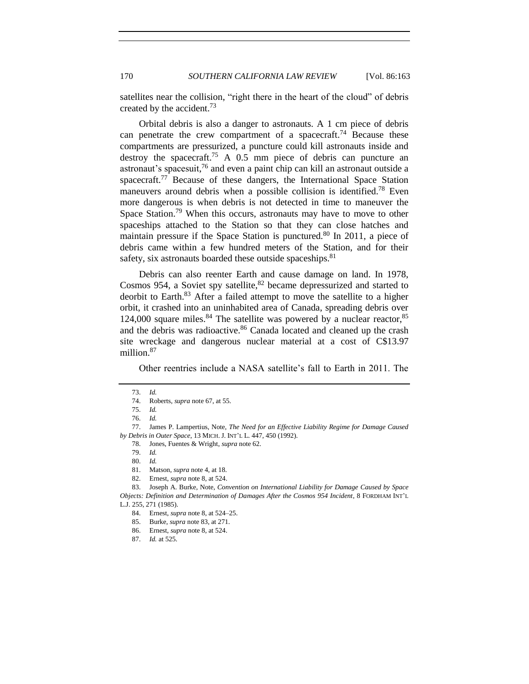satellites near the collision, "right there in the heart of the cloud" of debris created by the accident.<sup>73</sup>

Orbital debris is also a danger to astronauts. A 1 cm piece of debris can penetrate the crew compartment of a spacecraft.<sup>74</sup> Because these compartments are pressurized, a puncture could kill astronauts inside and destroy the spacecraft.<sup>75</sup> A 0.5 mm piece of debris can puncture an astronaut's spacesuit,<sup>76</sup> and even a paint chip can kill an astronaut outside a spacecraft.<sup>77</sup> Because of these dangers, the International Space Station maneuvers around debris when a possible collision is identified.<sup>78</sup> Even more dangerous is when debris is not detected in time to maneuver the Space Station.<sup>79</sup> When this occurs, astronauts may have to move to other spaceships attached to the Station so that they can close hatches and maintain pressure if the Space Station is punctured.<sup>80</sup> In 2011, a piece of debris came within a few hundred meters of the Station, and for their safety, six astronauts boarded these outside spaceships.<sup>81</sup>

<span id="page-7-0"></span>Debris can also reenter Earth and cause damage on land. In 1978, Cosmos 954, a Soviet spy satellite,  ${}^{82}$  became depressurized and started to deorbit to Earth.<sup>83</sup> After a failed attempt to move the satellite to a higher orbit, it crashed into an uninhabited area of Canada, spreading debris over 124,000 square miles. $84$  The satellite was powered by a nuclear reactor,  $85$ and the debris was radioactive.<sup>86</sup> Canada located and cleaned up the crash site wreckage and dangerous nuclear material at a cost of C\$13.97 million.<sup>87</sup>

Other reentries include a NASA satellite's fall to Earth in 2011. The

77. James P. Lampertius, Note, *The Need for an Effective Liability Regime for Damage Caused by Debris in Outer Space*, 13 MICH. J. INT'L L. 447, 450 (1992).

<sup>73.</sup> *Id.*

<sup>74.</sup> Roberts, *supra* not[e 67,](#page-6-1) at 55.

<sup>75.</sup> *Id.*

<sup>76.</sup> *Id.*

<sup>78.</sup> Jones, Fuentes & Wright, *supra* not[e 62.](#page-6-0)

<sup>79.</sup> *Id.*

<sup>80.</sup> *Id.*

Matson, *supra* not[e 4,](#page-1-1) at 18.

<sup>82.</sup> Ernest, *supra* not[e 8,](#page-1-6) at 524.

<sup>83.</sup> Joseph A. Burke, Note, *Convention on International Liability for Damage Caused by Space Objects: Definition and Determination of Damages After the Cosmos 954 Incident*, 8 FORDHAM INT'L L.J. 255, 271 (1985).

<sup>84.</sup> Ernest, *supra* not[e 8,](#page-1-6) at 524–25.

<sup>85.</sup> Burke, *supra* not[e 83,](#page-7-0) at 271.

<sup>86.</sup> Ernest, *supra* not[e 8,](#page-1-6) at 524.

<sup>87.</sup> *Id.* at 525.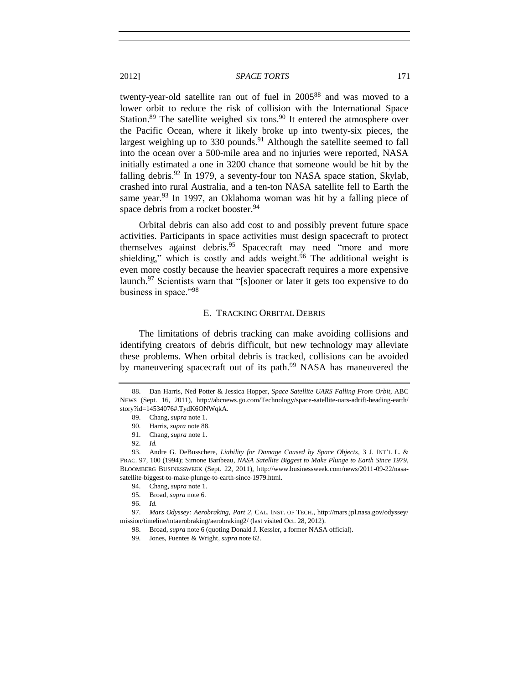twenty-year-old satellite ran out of fuel in 2005<sup>88</sup> and was moved to a lower orbit to reduce the risk of collision with the International Space Station.<sup>89</sup> The satellite weighed six tons.<sup>90</sup> It entered the atmosphere over the Pacific Ocean, where it likely broke up into twenty-six pieces, the largest weighing up to  $330$  pounds.<sup>91</sup> Although the satellite seemed to fall into the ocean over a 500-mile area and no injuries were reported, NASA initially estimated a one in 3200 chance that someone would be hit by the falling debris.<sup>92</sup> In 1979, a seventy-four ton NASA space station, Skylab, crashed into rural Australia, and a ten-ton NASA satellite fell to Earth the same year.<sup>93</sup> In 1997, an Oklahoma woman was hit by a falling piece of space debris from a rocket booster.<sup>94</sup>

Orbital debris can also add cost to and possibly prevent future space activities. Participants in space activities must design spacecraft to protect themselves against debris.<sup>95</sup> Spacecraft may need "more and more shielding," which is costly and adds weight.<sup>96</sup> The additional weight is even more costly because the heavier spacecraft requires a more expensive launch.<sup>97</sup> Scientists warn that "[s]ooner or later it gets too expensive to do business in space."<sup>98</sup>

#### E. TRACKING ORBITAL DEBRIS

<span id="page-8-0"></span>The limitations of debris tracking can make avoiding collisions and identifying creators of debris difficult, but new technology may alleviate these problems. When orbital debris is tracked, collisions can be avoided by maneuvering spacecraft out of its path.<sup>99</sup> NASA has maneuvered the

<span id="page-8-1"></span>

<sup>88.</sup> Dan Harris, Ned Potter & Jessica Hopper, *Space Satellite UARS Falling From Orbit*, ABC NEWS (Sept. 16, 2011), http://abcnews.go.com/Technology/space-satellite-uars-adrift-heading-earth/ story?id=14534076#.TydK6ONWqkA.

<sup>89.</sup> Chang, *supra* note [1.](#page-1-7)

<sup>90.</sup> Harris, *supra* not[e 88.](#page-8-1)

<sup>91.</sup> Chang, *supra* note [1.](#page-1-7)

<sup>92.</sup> *Id.*

<sup>93.</sup> Andre G. DeBusschere, *Liability for Damage Caused by Space Objects*, 3 J. INT'L L. & PRAC. 97, 100 (1994); Simone Baribeau, *NASA Satellite Biggest to Make Plunge to Earth Since 1979*, BLOOMBERG BUSINESSWEEK (Sept. 22, 2011), http://www.businessweek.com/news/2011-09-22/nasasatellite-biggest-to-make-plunge-to-earth-since-1979.html.

<sup>94.</sup> Chang, *supra* note [1.](#page-1-7)

<sup>95.</sup> Broad, *supra* not[e 6.](#page-1-4)

<sup>96.</sup> *Id.*

<sup>97.</sup> *Mars Odyssey: Aerobraking, Part 2*, CAL. INST. OF TECH., http://mars.jpl.nasa.gov/odyssey/ mission/timeline/mtaerobraking/aerobraking2/ (last visited Oct. 28, 2012).

<sup>98.</sup> Broad, *supra* not[e 6](#page-1-4) (quoting Donald J. Kessler, a former NASA official).

<sup>99.</sup> Jones, Fuentes & Wright, *supra* not[e 62.](#page-6-0)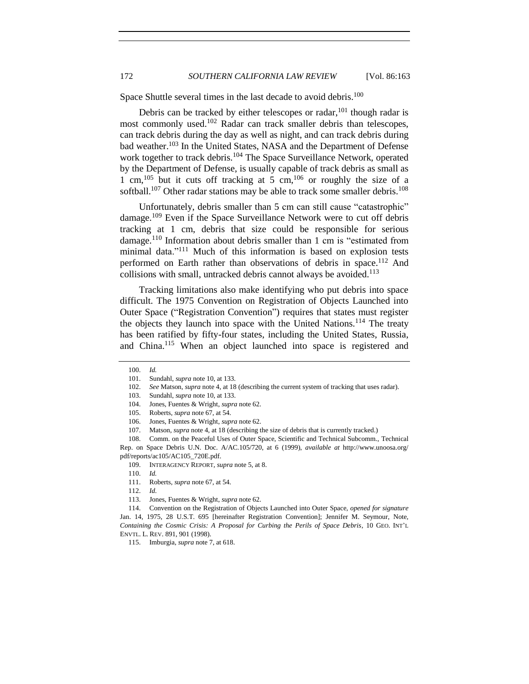Space Shuttle several times in the last decade to avoid debris.<sup>100</sup>

Debris can be tracked by either telescopes or radar,<sup>101</sup> though radar is most commonly used.<sup>102</sup> Radar can track smaller debris than telescopes, can track debris during the day as well as night, and can track debris during bad weather.<sup>103</sup> In the United States, NASA and the Department of Defense work together to track debris.<sup>104</sup> The Space Surveillance Network, operated by the Department of Defense, is usually capable of track debris as small as 1 cm,<sup>105</sup> but it cuts off tracking at 5 cm,<sup>106</sup> or roughly the size of a softball.<sup>107</sup> Other radar stations may be able to track some smaller debris.<sup>108</sup>

Unfortunately, debris smaller than 5 cm can still cause "catastrophic" damage.<sup>109</sup> Even if the Space Surveillance Network were to cut off debris tracking at 1 cm, debris that size could be responsible for serious damage.<sup>110</sup> Information about debris smaller than 1 cm is "estimated from minimal data."<sup>111</sup> Much of this information is based on explosion tests performed on Earth rather than observations of debris in space.<sup>112</sup> And collisions with small, untracked debris cannot always be avoided.<sup>113</sup>

Tracking limitations also make identifying who put debris into space difficult. The 1975 Convention on Registration of Objects Launched into Outer Space ("Registration Convention") requires that states must register the objects they launch into space with the United Nations.<sup>114</sup> The treaty has been ratified by fifty-four states, including the United States, Russia, and China.<sup>115</sup> When an object launched into space is registered and

108. Comm. on the Peaceful Uses of Outer Space, Scientific and Technical Subcomm., Technical Rep. on Space Debris U.N. Doc. A/AC.105/720, at 6 (1999), *available at* http://www.unoosa.org/ pdf/reports/ac105/AC105\_720E.pdf.

<span id="page-9-0"></span><sup>100.</sup> *Id.*

<sup>101.</sup> Sundahl, *supra* not[e 10,](#page-1-5) at 133.

<sup>102.</sup> *See* Matson, *supra* not[e 4,](#page-1-1) at 18 (describing the current system of tracking that uses radar).

<sup>103.</sup> Sundahl, *supra* not[e 10,](#page-1-5) at 133.

<sup>104.</sup> Jones, Fuentes & Wright, *supra* not[e 62.](#page-6-0)

<sup>105.</sup> Roberts, *supra* not[e 67,](#page-6-1) at 54.

<sup>106.</sup> Jones, Fuentes & Wright, *supra* not[e 62.](#page-6-0)

<sup>107.</sup> Matson, *supra* not[e 4,](#page-1-1) at 18 (describing the size of debris that is currently tracked.)

<sup>109.</sup> INTERAGENCY REPORT, *supra* not[e 5,](#page-1-2) at 8.

<sup>110.</sup> *Id.*

<sup>111.</sup> Roberts, *supra* not[e 67,](#page-6-1) at 54.

<sup>112.</sup> *Id.*

<sup>113.</sup> Jones, Fuentes & Wright, *supra* not[e 62.](#page-6-0)

<sup>114.</sup> Convention on the Registration of Objects Launched into Outer Space, *opened for signature* Jan. 14, 1975, 28 U.S.T. 695 [hereinafter Registration Convention]; Jennifer M. Seymour, Note, *Containing the Cosmic Crisis: A Proposal for Curbing the Perils of Space Debris*, 10 GEO. INT'L ENVTL. L. REV. 891, 901 (1998).

<sup>115.</sup> Imburgia, *supra* not[e 7,](#page-1-3) at 618.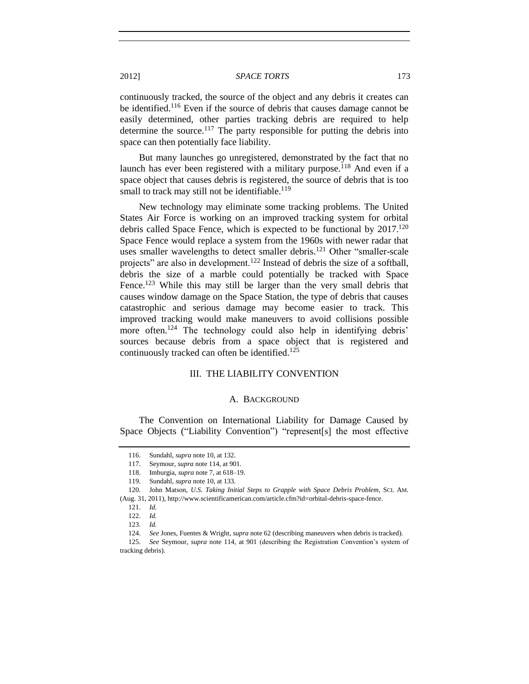continuously tracked, the source of the object and any debris it creates can be identified.<sup>116</sup> Even if the source of debris that causes damage cannot be easily determined, other parties tracking debris are required to help determine the source.<sup>117</sup> The party responsible for putting the debris into space can then potentially face liability.

But many launches go unregistered, demonstrated by the fact that no launch has ever been registered with a military purpose.<sup>118</sup> And even if a space object that causes debris is registered, the source of debris that is too small to track may still not be identifiable.<sup>119</sup>

New technology may eliminate some tracking problems. The United States Air Force is working on an improved tracking system for orbital debris called Space Fence, which is expected to be functional by  $2017$ <sup>120</sup> Space Fence would replace a system from the 1960s with newer radar that uses smaller wavelengths to detect smaller debris.<sup>121</sup> Other "smaller-scale projects" are also in development.<sup>122</sup> Instead of debris the size of a softball, debris the size of a marble could potentially be tracked with Space Fence.<sup>123</sup> While this may still be larger than the very small debris that causes window damage on the Space Station, the type of debris that causes catastrophic and serious damage may become easier to track. This improved tracking would make maneuvers to avoid collisions possible more often.<sup>124</sup> The technology could also help in identifying debris' sources because debris from a space object that is registered and continuously tracked can often be identified.<sup>125</sup>

#### III. THE LIABILITY CONVENTION

#### A. BACKGROUND

<span id="page-10-1"></span><span id="page-10-0"></span>The Convention on International Liability for Damage Caused by Space Objects ("Liability Convention") "represent[s] the most effective

<sup>116.</sup> Sundahl, *supra* not[e 10,](#page-1-5) at 132.

<sup>117.</sup> Seymour, *supra* not[e 114,](#page-9-0) at 901.

<sup>118.</sup> Imburgia, *supra* not[e 7,](#page-1-3) at 618–19.

<sup>119.</sup> Sundahl, *supra* not[e 10,](#page-1-5) at 133.

<sup>120.</sup> John Matson, *U.S. Taking Initial Steps to Grapple with Space Debris Problem*, SCI. AM. (Aug. 31, 2011), http://www.scientificamerican.com/article.cfm?id=orbital-debris-space-fence.

<sup>121.</sup> *Id.*

<sup>122.</sup> *Id.*

<sup>123.</sup> *Id.*

<sup>124.</sup> *See* Jones, Fuentes & Wright, *supra* not[e 62](#page-6-0) (describing maneuvers when debris is tracked).

<sup>125.</sup> *See* Seymour, *supra* note [114,](#page-9-0) at 901 (describing the Registration Convention's system of tracking debris).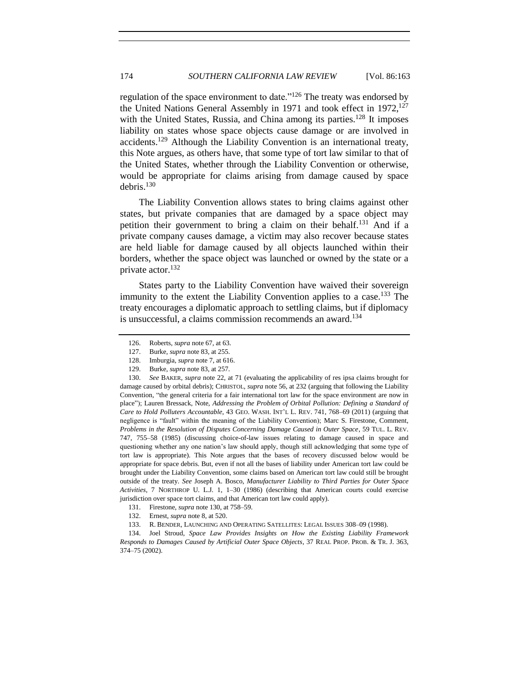regulation of the space environment to date."<sup>126</sup> The treaty was endorsed by the United Nations General Assembly in 1971 and took effect in  $1972$ ,  $127$ with the United States, Russia, and China among its parties.<sup>128</sup> It imposes liability on states whose space objects cause damage or are involved in accidents.<sup>129</sup> Although the Liability Convention is an international treaty, this Note argues, as others have, that some type of tort law similar to that of the United States, whether through the Liability Convention or otherwise, would be appropriate for claims arising from damage caused by space debris.<sup>130</sup>

<span id="page-11-0"></span>The Liability Convention allows states to bring claims against other states, but private companies that are damaged by a space object may petition their government to bring a claim on their behalf.<sup>131</sup> And if a private company causes damage, a victim may also recover because states are held liable for damage caused by all objects launched within their borders, whether the space object was launched or owned by the state or a private actor.<sup>132</sup>

States party to the Liability Convention have waived their sovereign immunity to the extent the Liability Convention applies to a case.<sup>133</sup> The treaty encourages a diplomatic approach to settling claims, but if diplomacy is unsuccessful, a claims commission recommends an award.<sup>134</sup>

134. Joel Stroud, *Space Law Provides Insights on How the Existing Liability Framework Responds to Damages Caused by Artificial Outer Space Objects*, 37 REAL PROP. PROB. & TR. J. 363, 374–75 (2002).

<span id="page-11-1"></span><sup>126.</sup> Roberts, *supra* not[e 67,](#page-6-1) at 63.

<sup>127.</sup> Burke, *supra* not[e 83,](#page-7-0) at 255.

<sup>128.</sup> Imburgia, *supra* not[e 7,](#page-1-3) at 616.

<sup>129.</sup> Burke, *supra* not[e 83,](#page-7-0) at 257.

<sup>130.</sup> *See* BAKER, *supra* note [22,](#page-3-2) at 71 (evaluating the applicability of res ipsa claims brought for damage caused by orbital debris); CHRISTOL, *supra* note [56,](#page-5-4) at 232 (arguing that following the Liability Convention, "the general criteria for a fair international tort law for the space environment are now in place"); Lauren Bressack, Note, *Addressing the Problem of Orbital Pollution: Defining a Standard of Care to Hold Polluters Accountable*, 43 GEO. WASH. INT'L L. REV. 741, 768–69 (2011) (arguing that negligence is "fault" within the meaning of the Liability Convention); Marc S. Firestone, Comment, *Problems in the Resolution of Disputes Concerning Damage Caused in Outer Space*, 59 TUL. L. REV. 747, 755–58 (1985) (discussing choice-of-law issues relating to damage caused in space and questioning whether any one nation's law should apply, though still acknowledging that some type of tort law is appropriate). This Note argues that the bases of recovery discussed below would be appropriate for space debris. But, even if not all the bases of liability under American tort law could be brought under the Liability Convention, some claims based on American tort law could still be brought outside of the treaty. *See* Joseph A. Bosco, *Manufacturer Liability to Third Parties for Outer Space Activities*, 7 NORTHROP U. L.J. 1, 1–30 (1986) (describing that American courts could exercise jurisdiction over space tort claims, and that American tort law could apply).

<sup>131.</sup> Firestone, *supra* note [130,](#page-11-0) at 758–59.

<sup>132.</sup> Ernest, *supra* not[e 8,](#page-1-6) at 520.

<sup>133.</sup> R. BENDER, LAUNCHING AND OPERATING SATELLITES: LEGAL ISSUES 308–09 (1998).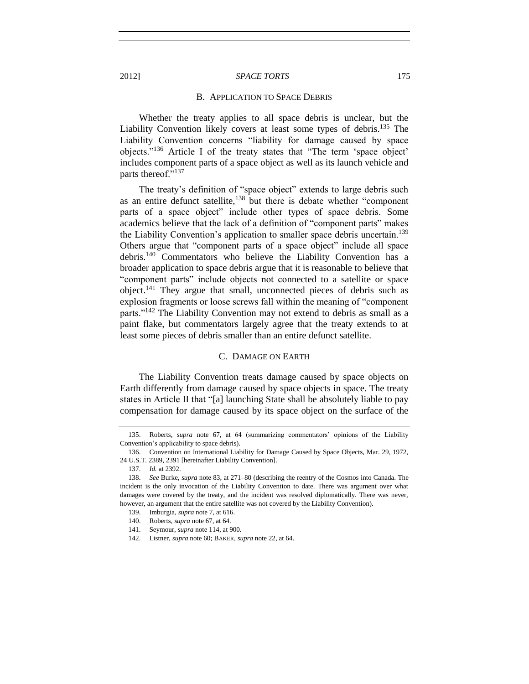#### B. APPLICATION TO SPACE DEBRIS

<span id="page-12-2"></span>Whether the treaty applies to all space debris is unclear, but the Liability Convention likely covers at least some types of debris.<sup>135</sup> The Liability Convention concerns "liability for damage caused by space objects."<sup>136</sup> Article I of the treaty states that "The term 'space object' includes component parts of a space object as well as its launch vehicle and parts thereof."<sup>137</sup>

The treaty's definition of "space object" extends to large debris such as an entire defunct satellite,<sup>138</sup> but there is debate whether "component" parts of a space object" include other types of space debris. Some academics believe that the lack of a definition of "component parts" makes the Liability Convention's application to smaller space debris uncertain.<sup>139</sup> Others argue that "component parts of a space object" include all space debris.<sup>140</sup> Commentators who believe the Liability Convention has a broader application to space debris argue that it is reasonable to believe that "component parts" include objects not connected to a satellite or space object.<sup>141</sup> They argue that small, unconnected pieces of debris such as explosion fragments or loose screws fall within the meaning of "component parts."<sup>142</sup> The Liability Convention may not extend to debris as small as a paint flake, but commentators largely agree that the treaty extends to at least some pieces of debris smaller than an entire defunct satellite.

# C. DAMAGE ON EARTH

<span id="page-12-1"></span>The Liability Convention treats damage caused by space objects on Earth differently from damage caused by space objects in space. The treaty states in Article II that "[a] launching State shall be absolutely liable to pay compensation for damage caused by its space object on the surface of the

<span id="page-12-0"></span>

<sup>135.</sup> Roberts, *supra* note [67,](#page-6-1) at 64 (summarizing commentators' opinions of the Liability Convention's applicability to space debris).

<sup>136.</sup> Convention on International Liability for Damage Caused by Space Objects, Mar. 29, 1972, 24 U.S.T. 2389, 2391 [hereinafter Liability Convention].

<sup>137.</sup> *Id.* at 2392.

<sup>138.</sup> *See* Burke, *supra* not[e 83,](#page-7-0) at 271–80 (describing the reentry of the Cosmos into Canada. The incident is the only invocation of the Liability Convention to date. There was argument over what damages were covered by the treaty, and the incident was resolved diplomatically. There was never, however, an argument that the entire satellite was not covered by the Liability Convention).

<sup>139.</sup> Imburgia, *supra* not[e 7,](#page-1-3) at 616.

<sup>140.</sup> Roberts, *supra* not[e 67,](#page-6-1) at 64.

<sup>141.</sup> Seymour, *supra* not[e 114,](#page-9-0) at 900.

<sup>142.</sup> Listner, *supra* not[e 60;](#page-6-2) BAKER, *supra* not[e 22,](#page-3-2) at 64.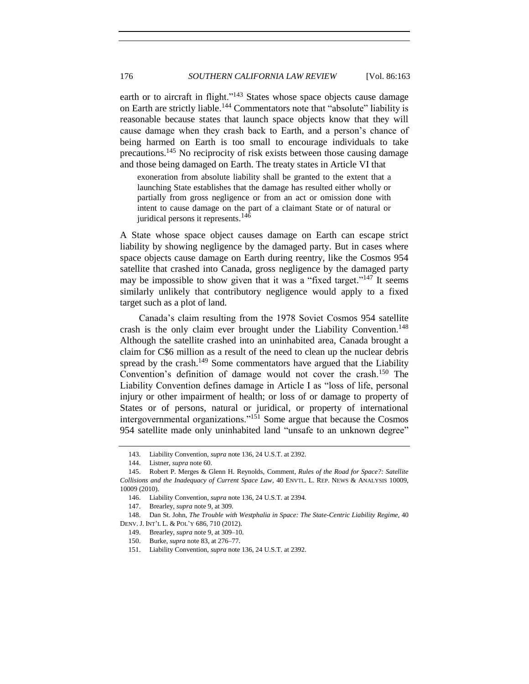earth or to aircraft in flight."<sup>143</sup> States whose space objects cause damage on Earth are strictly liable.<sup>144</sup> Commentators note that "absolute" liability is reasonable because states that launch space objects know that they will cause damage when they crash back to Earth, and a person's chance of being harmed on Earth is too small to encourage individuals to take precautions.<sup>145</sup> No reciprocity of risk exists between those causing damage and those being damaged on Earth. The treaty states in Article VI that

<span id="page-13-0"></span>exoneration from absolute liability shall be granted to the extent that a launching State establishes that the damage has resulted either wholly or partially from gross negligence or from an act or omission done with intent to cause damage on the part of a claimant State or of natural or juridical persons it represents.<sup>146</sup>

A State whose space object causes damage on Earth can escape strict liability by showing negligence by the damaged party. But in cases where space objects cause damage on Earth during reentry, like the Cosmos 954 satellite that crashed into Canada, gross negligence by the damaged party may be impossible to show given that it was a "fixed target."<sup>147</sup> It seems similarly unlikely that contributory negligence would apply to a fixed target such as a plot of land.

Canada's claim resulting from the 1978 Soviet Cosmos 954 satellite crash is the only claim ever brought under the Liability Convention.<sup>148</sup> Although the satellite crashed into an uninhabited area, Canada brought a claim for C\$6 million as a result of the need to clean up the nuclear debris spread by the crash.<sup>149</sup> Some commentators have argued that the Liability Convention's definition of damage would not cover the crash.<sup>150</sup> The Liability Convention defines damage in Article I as "loss of life, personal injury or other impairment of health; or loss of or damage to property of States or of persons, natural or juridical, or property of international intergovernmental organizations."<sup>151</sup> Some argue that because the Cosmos 954 satellite made only uninhabited land "unsafe to an unknown degree"

<sup>143.</sup> Liability Convention, *supra* note [136,](#page-12-2) 24 U.S.T. at 2392.

<sup>144.</sup> Listner, *supra* not[e 60.](#page-6-2)

<sup>145.</sup> Robert P. Merges & Glenn H. Reynolds, Comment, *Rules of the Road for Space?: Satellite Collisions and the Inadequacy of Current Space Law*, 40 ENVTL. L. REP. NEWS & ANALYSIS 10009, 10009 (2010).

<sup>146.</sup> Liability Convention, *supra* note [136,](#page-12-2) 24 U.S.T. at 2394.

<sup>147.</sup> Brearley, *supra* not[e 9,](#page-1-8) at 309.

<sup>148.</sup> Dan St. John, *The Trouble with Westphalia in Space: The State-Centric Liability Regime*, 40 DENV. J. INT'L L. & POL'Y 686, 710 (2012).

<sup>149.</sup> Brearley, *supra* not[e 9,](#page-1-8) at 309–10.

<sup>150.</sup> Burke, *supra* not[e 83,](#page-7-0) at 276–77.

<sup>151.</sup> Liability Convention, *supra* note [136,](#page-12-2) 24 U.S.T. at 2392.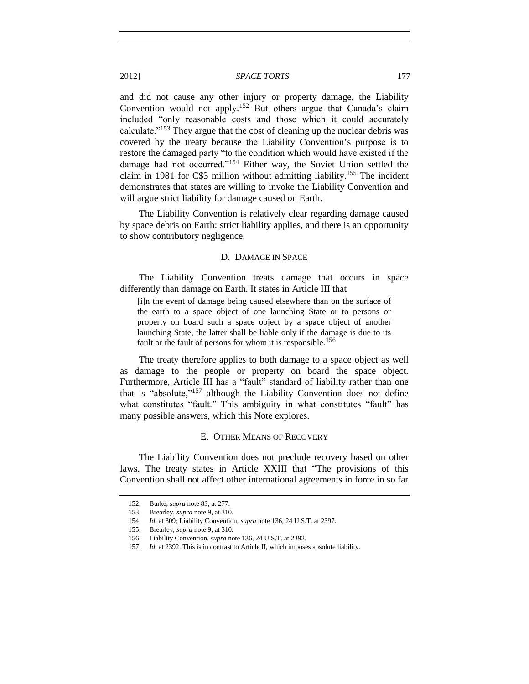and did not cause any other injury or property damage, the Liability Convention would not apply.<sup>152</sup> But others argue that Canada's claim included "only reasonable costs and those which it could accurately calculate."<sup>153</sup> They argue that the cost of cleaning up the nuclear debris was covered by the treaty because the Liability Convention's purpose is to restore the damaged party "to the condition which would have existed if the damage had not occurred."<sup>154</sup> Either way, the Soviet Union settled the claim in 1981 for C\$3 million without admitting liability.<sup>155</sup> The incident demonstrates that states are willing to invoke the Liability Convention and will argue strict liability for damage caused on Earth.

<span id="page-14-0"></span>The Liability Convention is relatively clear regarding damage caused by space debris on Earth: strict liability applies, and there is an opportunity to show contributory negligence.

#### D. DAMAGE IN SPACE

The Liability Convention treats damage that occurs in space differently than damage on Earth. It states in Article III that

[i]n the event of damage being caused elsewhere than on the surface of the earth to a space object of one launching State or to persons or property on board such a space object by a space object of another launching State, the latter shall be liable only if the damage is due to its fault or the fault of persons for whom it is responsible.<sup>156</sup>

The treaty therefore applies to both damage to a space object as well as damage to the people or property on board the space object. Furthermore, Article III has a "fault" standard of liability rather than one that is "absolute," <sup>157</sup> although the Liability Convention does not define what constitutes "fault." This ambiguity in what constitutes "fault" has many possible answers, which this Note explores.

# E. OTHER MEANS OF RECOVERY

<span id="page-14-1"></span>The Liability Convention does not preclude recovery based on other laws. The treaty states in Article XXIII that "The provisions of this Convention shall not affect other international agreements in force in so far

<sup>152.</sup> Burke, *supra* not[e 83,](#page-7-0) at 277.

<sup>153.</sup> Brearley, *supra* not[e 9,](#page-1-8) at 310.

<sup>154.</sup> *Id.* at 309; Liability Convention, *supra* not[e 136,](#page-12-2) 24 U.S.T. at 2397.

<sup>155.</sup> Brearley, *supra* not[e 9,](#page-1-8) at 310.

<sup>156.</sup> Liability Convention, *supra* note [136,](#page-12-2) 24 U.S.T. at 2392.

<sup>157.</sup> *Id.* at 2392. This is in contrast to Article II, which imposes absolute liability.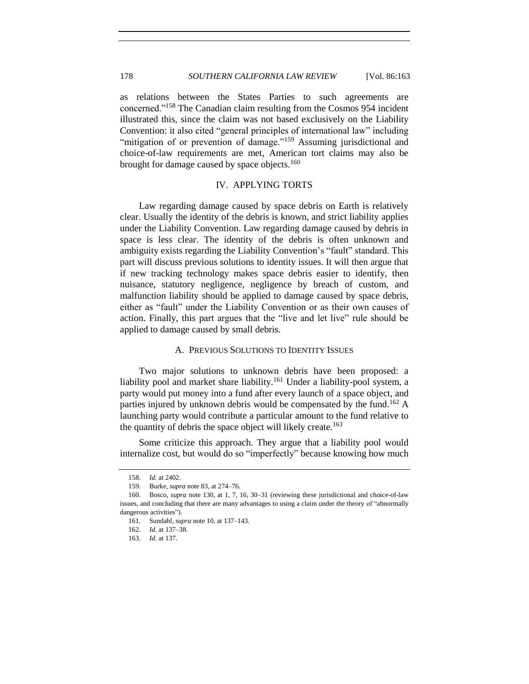as relations between the States Parties to such agreements are concerned."<sup>158</sup> The Canadian claim resulting from the Cosmos 954 incident illustrated this, since the claim was not based exclusively on the Liability Convention: it also cited "general principles of international law" including "mitigation of or prevention of damage."<sup>159</sup> Assuming jurisdictional and choice-of-law requirements are met, American tort claims may also be brought for damage caused by space objects.<sup>160</sup>

# IV. APPLYING TORTS

<span id="page-15-0"></span>Law regarding damage caused by space debris on Earth is relatively clear. Usually the identity of the debris is known, and strict liability applies under the Liability Convention. Law regarding damage caused by debris in space is less clear. The identity of the debris is often unknown and ambiguity exists regarding the Liability Convention's "fault" standard. This part will discuss previous solutions to identity issues. It will then argue that if new tracking technology makes space debris easier to identify, then nuisance, statutory negligence, negligence by breach of custom, and malfunction liability should be applied to damage caused by space debris, either as "fault" under the Liability Convention or as their own causes of action. Finally, this part argues that the "live and let live" rule should be applied to damage caused by small debris.

#### A. PREVIOUS SOLUTIONS TO IDENTITY ISSUES

<span id="page-15-1"></span>Two major solutions to unknown debris have been proposed: a liability pool and market share liability.<sup>161</sup> Under a liability-pool system, a party would put money into a fund after every launch of a space object, and parties injured by unknown debris would be compensated by the fund.<sup>162</sup> A launching party would contribute a particular amount to the fund relative to the quantity of debris the space object will likely create.<sup>163</sup>

Some criticize this approach. They argue that a liability pool would internalize cost, but would do so "imperfectly" because knowing how much

<sup>158.</sup> *Id.* at 2402.

<sup>159.</sup> Burke, *supra* not[e 83,](#page-7-0) at 274–76.

<sup>160.</sup> Bosco, *supra* note [130,](#page-11-0) at 1, 7, 16, 30–31 (reviewing these jurisdictional and choice-of-law issues, and concluding that there are many advantages to using a claim under the theory of "abnormally dangerous activities").

<sup>161.</sup> Sundahl, *supra* not[e 10,](#page-1-5) at 137–143.

<sup>162.</sup> *Id.* at 137–38.

<sup>163.</sup> *Id.* at 137.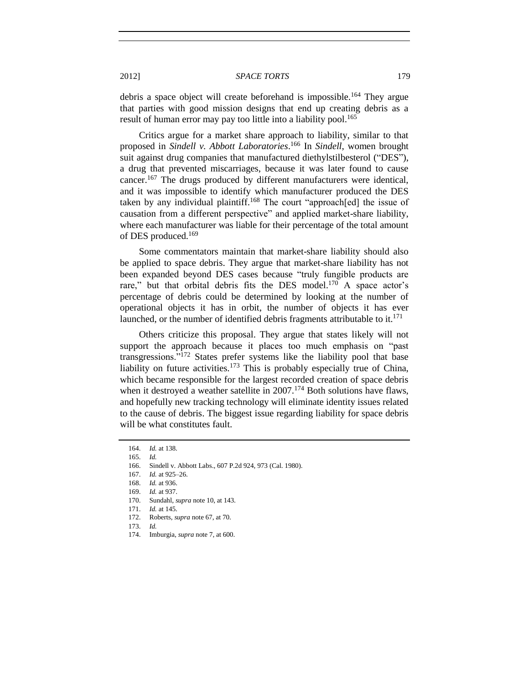debris a space object will create beforehand is impossible.<sup>164</sup> They argue that parties with good mission designs that end up creating debris as a result of human error may pay too little into a liability pool.<sup>165</sup>

Critics argue for a market share approach to liability, similar to that proposed in *Sindell v. Abbott Laboratories*. <sup>166</sup> In *Sindell*, women brought suit against drug companies that manufactured diethylstilbesterol ("DES"), a drug that prevented miscarriages, because it was later found to cause cancer.<sup>167</sup> The drugs produced by different manufacturers were identical, and it was impossible to identify which manufacturer produced the DES taken by any individual plaintiff.<sup>168</sup> The court "approach[ed] the issue of causation from a different perspective" and applied market-share liability, where each manufacturer was liable for their percentage of the total amount of DES produced.<sup>169</sup>

Some commentators maintain that market-share liability should also be applied to space debris. They argue that market-share liability has not been expanded beyond DES cases because "truly fungible products are rare," but that orbital debris fits the DES model. $170$  A space actor's percentage of debris could be determined by looking at the number of operational objects it has in orbit, the number of objects it has ever launched, or the number of identified debris fragments attributable to it.<sup>171</sup>

Others criticize this proposal. They argue that states likely will not support the approach because it places too much emphasis on "past transgressions." $172$  States prefer systems like the liability pool that base liability on future activities.<sup>173</sup> This is probably especially true of China, which became responsible for the largest recorded creation of space debris when it destroyed a weather satellite in  $2007$ .<sup>174</sup> Both solutions have flaws, and hopefully new tracking technology will eliminate identity issues related to the cause of debris. The biggest issue regarding liability for space debris will be what constitutes fault.

<sup>164.</sup> *Id.* at 138.

<sup>165.</sup> *Id.*

<sup>166.</sup> Sindell v. Abbott Labs., 607 P.2d 924, 973 (Cal. 1980).

<sup>167.</sup> *Id.* at 925–26.

<sup>168.</sup> *Id.* at 936.

<sup>169.</sup> *Id.* at 937.

<sup>170.</sup> Sundahl, *supra* not[e 10,](#page-1-5) at 143.

<sup>171.</sup> *Id.* at 145.

<sup>172.</sup> Roberts, *supra* not[e 67,](#page-6-1) at 70.

<sup>173.</sup> *Id.*

<sup>174.</sup> Imburgia, *supra* not[e 7,](#page-1-3) at 600.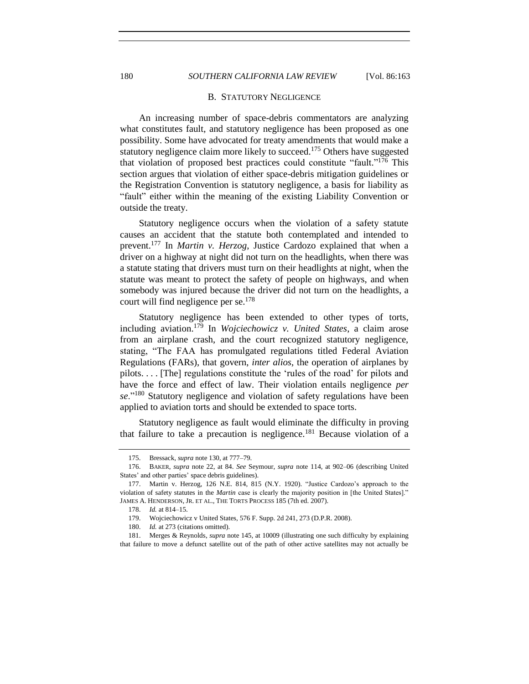## <span id="page-17-0"></span>180 *SOUTHERN CALIFORNIA LAW REVIEW* [Vol. 86:163

#### B. STATUTORY NEGLIGENCE

An increasing number of space-debris commentators are analyzing what constitutes fault, and statutory negligence has been proposed as one possibility. Some have advocated for treaty amendments that would make a statutory negligence claim more likely to succeed.<sup>175</sup> Others have suggested that violation of proposed best practices could constitute "fault." <sup>176</sup> This section argues that violation of either space-debris mitigation guidelines or the Registration Convention is statutory negligence, a basis for liability as "fault" either within the meaning of the existing Liability Convention or outside the treaty.

Statutory negligence occurs when the violation of a safety statute causes an accident that the statute both contemplated and intended to prevent. <sup>177</sup> In *Martin v. Herzog*, Justice Cardozo explained that when a driver on a highway at night did not turn on the headlights, when there was a statute stating that drivers must turn on their headlights at night, when the statute was meant to protect the safety of people on highways, and when somebody was injured because the driver did not turn on the headlights, a court will find negligence per se. 178

Statutory negligence has been extended to other types of torts, including aviation.<sup>179</sup> In *Wojciechowicz v. United States*, a claim arose from an airplane crash, and the court recognized statutory negligence, stating, "The FAA has promulgated regulations titled Federal Aviation Regulations (FARs), that govern, *inter alios*, the operation of airplanes by pilots. . . . [The] regulations constitute the 'rules of the road' for pilots and have the force and effect of law. Their violation entails negligence *per se*."<sup>180</sup> Statutory negligence and violation of safety regulations have been applied to aviation torts and should be extended to space torts.

Statutory negligence as fault would eliminate the difficulty in proving that failure to take a precaution is negligence.<sup>181</sup> Because violation of a

180. *Id.* at 273 (citations omitted).

<sup>175.</sup> Bressack, *supra* not[e 130,](#page-11-0) at 777–79.

<sup>176.</sup> BAKER, *supra* note [22,](#page-3-2) at 84. *See* Seymour, *supra* note [114,](#page-9-0) at 902–06 (describing United States' and other parties' space debris guidelines).

<sup>177.</sup> Martin v. Herzog, 126 N.E. 814, 815 (N.Y. 1920). "Justice Cardozo's approach to the violation of safety statutes in the *Martin* case is clearly the majority position in [the United States]." JAMES A. HENDERSON, JR. ET AL., THE TORTS PROCESS 185 (7th ed. 2007).

<sup>178.</sup> *Id.* at 814–15.

<sup>179.</sup> Wojciechowicz v United States, 576 F. Supp. 2d 241, 273 (D.P.R. 2008).

<sup>181.</sup> Merges & Reynolds, *supra* note [145,](#page-13-0) at 10009 (illustrating one such difficulty by explaining that failure to move a defunct satellite out of the path of other active satellites may not actually be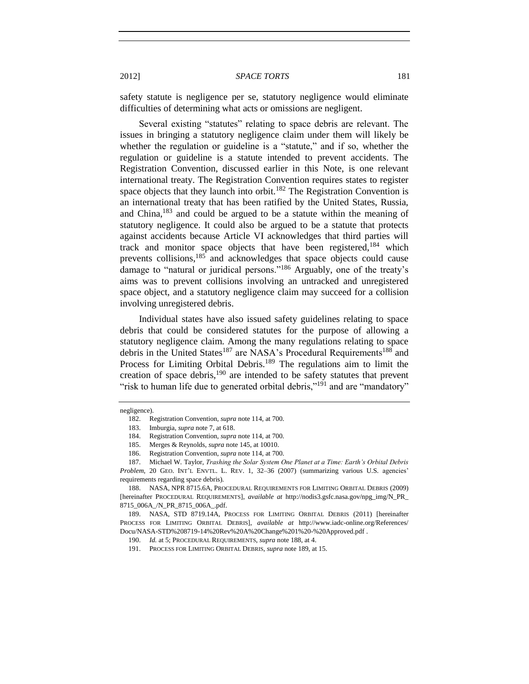safety statute is negligence per se, statutory negligence would eliminate difficulties of determining what acts or omissions are negligent.

Several existing "statutes" relating to space debris are relevant. The issues in bringing a statutory negligence claim under them will likely be whether the regulation or guideline is a "statute," and if so, whether the regulation or guideline is a statute intended to prevent accidents. The Registration Convention, discussed earlier in this Note, is one relevant international treaty. The Registration Convention requires states to register space objects that they launch into orbit.<sup>182</sup> The Registration Convention is an international treaty that has been ratified by the United States, Russia, and China,<sup>183</sup> and could be argued to be a statute within the meaning of statutory negligence. It could also be argued to be a statute that protects against accidents because Article VI acknowledges that third parties will track and monitor space objects that have been registered,  $184$  which prevents collisions, <sup>185</sup> and acknowledges that space objects could cause damage to "natural or juridical persons."<sup>186</sup> Arguably, one of the treaty's aims was to prevent collisions involving an untracked and unregistered space object, and a statutory negligence claim may succeed for a collision involving unregistered debris.

<span id="page-18-2"></span>Individual states have also issued safety guidelines relating to space debris that could be considered statutes for the purpose of allowing a statutory negligence claim. Among the many regulations relating to space debris in the United States<sup>187</sup> are NASA's Procedural Requirements<sup>188</sup> and Process for Limiting Orbital Debris.<sup>189</sup> The regulations aim to limit the creation of space debris, $190$  are intended to be safety statutes that prevent "risk to human life due to generated orbital debris,"<sup>191</sup> and are "mandatory"

#### negligence).

<span id="page-18-1"></span><span id="page-18-0"></span><sup>182.</sup> Registration Convention, *supra* not[e 114,](#page-9-0) at 700.

<sup>183.</sup> Imburgia, *supra* not[e 7,](#page-1-3) at 618.

<sup>184.</sup> Registration Convention, *supra* not[e 114,](#page-9-0) at 700.

<sup>185.</sup> Merges & Reynolds, *supra* not[e 145,](#page-13-0) at 10010.

<sup>186.</sup> Registration Convention, *supra* not[e 114,](#page-9-0) at 700.

<sup>187.</sup> Michael W. Taylor, *Trashing the Solar System One Planet at a Time: Earth's Orbital Debris Problem*, 20 GEO. INT'L ENVTL. L. REV. 1, 32–36 (2007) (summarizing various U.S. agencies' requirements regarding space debris).

<sup>188.</sup> NASA, NPR 8715.6A, PROCEDURAL REQUIREMENTS FOR LIMITING ORBITAL DEBRIS (2009) [hereinafter PROCEDURAL REQUIREMENTS], *available at* http://nodis3.gsfc.nasa.gov/npg\_img/N\_PR\_ 8715\_006A\_/N\_PR\_8715\_006A\_.pdf.

<sup>189.</sup> NASA, STD 8719.14A, PROCESS FOR LIMITING ORBITAL DEBRIS (2011) [hereinafter PROCESS FOR LIMITING ORBITAL DEBRIS], *available at* http://www.iadc-online.org/References/ Docu/NASA-STD%208719-14%20Rev%20A%20Change%201%20-%20Approved.pdf .

<sup>190.</sup> *Id.* at 5; PROCEDURAL REQUIREMENTS, *supra* note [188,](#page-18-0) at 4.

<sup>191.</sup> PROCESS FOR LIMITING ORBITAL DEBRIS, *supra* not[e 189,](#page-18-1) at 15.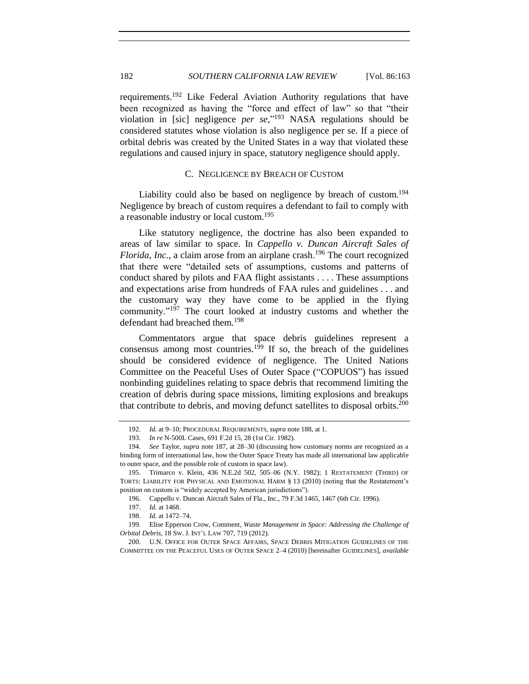requirements.<sup>192</sup> Like Federal Aviation Authority regulations that have been recognized as having the "force and effect of law" so that "their violation in [sic] negligence *per se*," <sup>193</sup> NASA regulations should be considered statutes whose violation is also negligence per se. If a piece of orbital debris was created by the United States in a way that violated these regulations and caused injury in space, statutory negligence should apply.

# C. NEGLIGENCE BY BREACH OF CUSTOM

<span id="page-19-0"></span>Liability could also be based on negligence by breach of custom.<sup>194</sup> Negligence by breach of custom requires a defendant to fail to comply with a reasonable industry or local custom.<sup>195</sup>

Like statutory negligence, the doctrine has also been expanded to areas of law similar to space. In *Cappello v. Duncan Aircraft Sales of Florida, Inc.*, a claim arose from an airplane crash. <sup>196</sup> The court recognized that there were "detailed sets of assumptions, customs and patterns of conduct shared by pilots and FAA flight assistants . . . . These assumptions and expectations arise from hundreds of FAA rules and guidelines . . . and the customary way they have come to be applied in the flying community."<sup>197</sup> The court looked at industry customs and whether the defendant had breached them.<sup>198</sup>

Commentators argue that space debris guidelines represent a consensus among most countries.<sup>199</sup> If so, the breach of the guidelines should be considered evidence of negligence. The United Nations Committee on the Peaceful Uses of Outer Space ("COPUOS") has issued nonbinding guidelines relating to space debris that recommend limiting the creation of debris during space missions, limiting explosions and breakups that contribute to debris, and moving defunct satellites to disposal orbits.<sup>200</sup>

<sup>192.</sup> *Id.* at 9–10; PROCEDURAL REQUIREMENTS, *supra* not[e 188,](#page-18-0) at 1.

<sup>193.</sup> *In re* N-500L Cases, 691 F.2d 15, 28 (1st Cir. 1982).

<sup>194.</sup> *See* Taylor, *supra* not[e 187,](#page-18-2) at 28–30 (discussing how customary norms are recognized as a binding form of international law, how the Outer Space Treaty has made all international law applicable to outer space, and the possible role of custom in space law).

<sup>195.</sup> Trimarco v. Klein, 436 N.E.2d 502, 505–06 (N.Y. 1982); 1 RESTATEMENT (THIRD) OF TORTS: LIABILITY FOR PHYSICAL AND EMOTIONAL HARM § 13 (2010) (noting that the Restatement's position on custom is "widely accepted by American jurisdictions").

<sup>196.</sup> Cappello v. Duncan Aircraft Sales of Fla., Inc., 79 F.3d 1465, 1467 (6th Cir. 1996).

<sup>197.</sup> *Id.* at 1468.

<sup>198.</sup> *Id.* at 1472–74.

<sup>199.</sup> Elise Epperson Crow, Comment, *Waste Management in Space: Addressing the Challenge of Orbital Debris*, 18 SW. J. INT'L LAW 707, 719 (2012).

<sup>200.</sup> U.N. OFFICE FOR OUTER SPACE AFFAIRS, SPACE DEBRIS MITIGATION GUIDELINES OF THE COMMITTEE ON THE PEACEFUL USES OF OUTER SPACE 2–4 (2010) [hereinafter GUIDELINES], *available*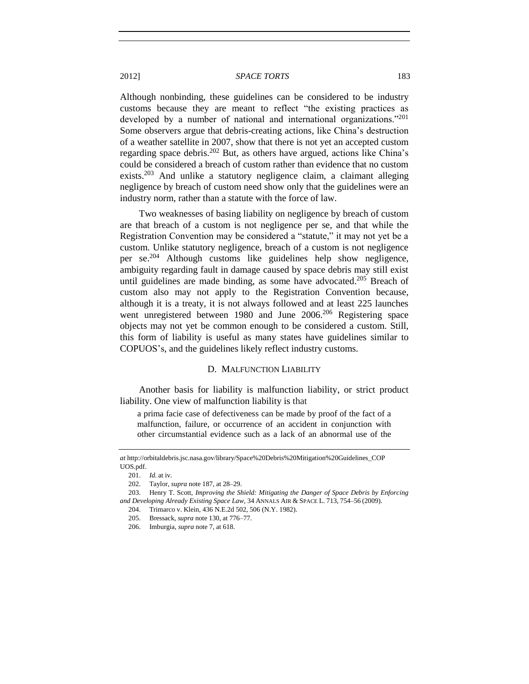Although nonbinding, these guidelines can be considered to be industry customs because they are meant to reflect "the existing practices as developed by a number of national and international organizations."<sup>201</sup> Some observers argue that debris-creating actions, like China's destruction of a weather satellite in 2007, show that there is not yet an accepted custom regarding space debris.<sup>202</sup> But, as others have argued, actions like China's could be considered a breach of custom rather than evidence that no custom exists.<sup>203</sup> And unlike a statutory negligence claim, a claimant alleging negligence by breach of custom need show only that the guidelines were an industry norm, rather than a statute with the force of law.

Two weaknesses of basing liability on negligence by breach of custom are that breach of a custom is not negligence per se, and that while the Registration Convention may be considered a "statute," it may not yet be a custom. Unlike statutory negligence, breach of a custom is not negligence per se.<sup>204</sup> Although customs like guidelines help show negligence, ambiguity regarding fault in damage caused by space debris may still exist until guidelines are made binding, as some have advocated.<sup>205</sup> Breach of custom also may not apply to the Registration Convention because, although it is a treaty, it is not always followed and at least 225 launches went unregistered between 1980 and June 2006.<sup>206</sup> Registering space objects may not yet be common enough to be considered a custom. Still, this form of liability is useful as many states have guidelines similar to COPUOS's, and the guidelines likely reflect industry customs.

#### D. MALFUNCTION LIABILITY

<span id="page-20-0"></span>Another basis for liability is malfunction liability, or strict product liability. One view of malfunction liability is that

a prima facie case of defectiveness can be made by proof of the fact of a malfunction, failure, or occurrence of an accident in conjunction with other circumstantial evidence such as a lack of an abnormal use of the

*at* http://orbitaldebris.jsc.nasa.gov/library/Space%20Debris%20Mitigation%20Guidelines\_COP UOS.pdf.

<sup>201.</sup> *Id.* at iv.

<sup>202.</sup> Taylor, *supra* not[e 187,](#page-18-2) at 28–29.

<sup>203.</sup> Henry T. Scott, *Improving the Shield: Mitigating the Danger of Space Debris by Enforcing and Developing Already Existing Space Law*, 34 ANNALS AIR & SPACE L. 713, 754–56 (2009).

<sup>204.</sup> Trimarco v. Klein, 436 N.E.2d 502, 506 (N.Y. 1982).

<sup>205.</sup> Bressack, *supra* not[e 130,](#page-11-0) at 776–77.

<sup>206.</sup> Imburgia, *supra* not[e 7,](#page-1-3) at 618.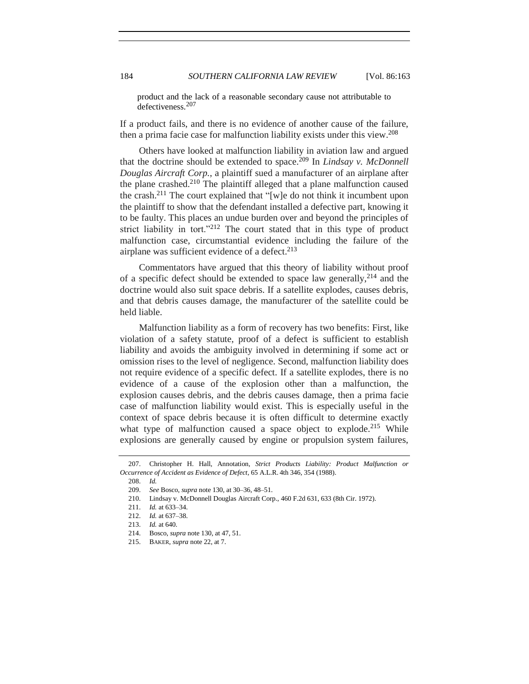product and the lack of a reasonable secondary cause not attributable to defectiveness.<sup>207</sup>

If a product fails, and there is no evidence of another cause of the failure, then a prima facie case for malfunction liability exists under this view. 208

Others have looked at malfunction liability in aviation law and argued that the doctrine should be extended to space.<sup>209</sup> In *Lindsay v. McDonnell Douglas Aircraft Corp.*, a plaintiff sued a manufacturer of an airplane after the plane crashed.<sup>210</sup> The plaintiff alleged that a plane malfunction caused the crash.<sup>211</sup> The court explained that "[w]e do not think it incumbent upon the plaintiff to show that the defendant installed a defective part, knowing it to be faulty. This places an undue burden over and beyond the principles of strict liability in tort."<sup>212</sup> The court stated that in this type of product malfunction case, circumstantial evidence including the failure of the airplane was sufficient evidence of a defect.<sup>213</sup>

Commentators have argued that this theory of liability without proof of a specific defect should be extended to space law generally,  $2^{14}$  and the doctrine would also suit space debris. If a satellite explodes, causes debris, and that debris causes damage, the manufacturer of the satellite could be held liable.

Malfunction liability as a form of recovery has two benefits: First, like violation of a safety statute, proof of a defect is sufficient to establish liability and avoids the ambiguity involved in determining if some act or omission rises to the level of negligence. Second, malfunction liability does not require evidence of a specific defect. If a satellite explodes, there is no evidence of a cause of the explosion other than a malfunction, the explosion causes debris, and the debris causes damage, then a prima facie case of malfunction liability would exist. This is especially useful in the context of space debris because it is often difficult to determine exactly what type of malfunction caused a space object to explode.<sup>215</sup> While explosions are generally caused by engine or propulsion system failures,

<sup>207.</sup> Christopher H. Hall, Annotation, *Strict Products Liability: Product Malfunction or Occurrence of Accident as Evidence of Defect*, 65 A.L.R. 4th 346, 354 (1988).

<sup>208.</sup> *Id.*

<sup>209.</sup> *See* Bosco, *supra* not[e 130,](#page-11-0) at 30–36, 48–51.

<sup>210.</sup> Lindsay v. McDonnell Douglas Aircraft Corp., 460 F.2d 631, 633 (8th Cir. 1972).

<sup>211.</sup> *Id.* at 633–34.

<sup>212.</sup> *Id.* at 637–38.

<sup>213.</sup> *Id.* at 640.

<sup>214.</sup> Bosco, *supra* not[e 130,](#page-11-0) at 47, 51.

<sup>215.</sup> BAKER, *supra* not[e 22,](#page-3-2) at 7.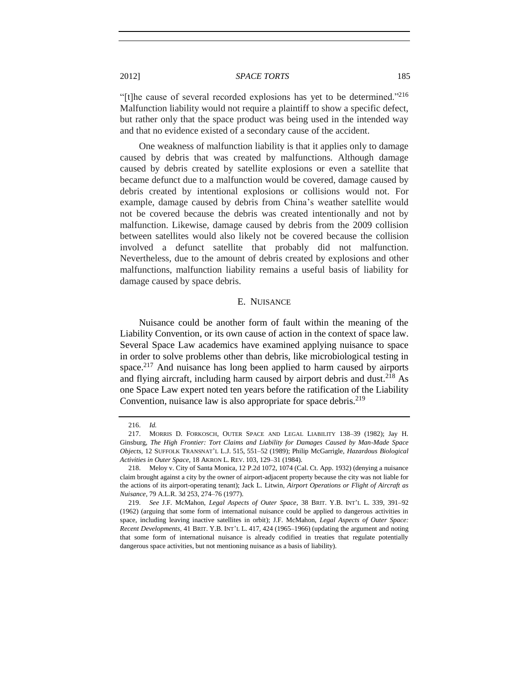"[t]he cause of several recorded explosions has yet to be determined."<sup>216</sup> Malfunction liability would not require a plaintiff to show a specific defect, but rather only that the space product was being used in the intended way and that no evidence existed of a secondary cause of the accident.

One weakness of malfunction liability is that it applies only to damage caused by debris that was created by malfunctions. Although damage caused by debris created by satellite explosions or even a satellite that became defunct due to a malfunction would be covered, damage caused by debris created by intentional explosions or collisions would not. For example, damage caused by debris from China's weather satellite would not be covered because the debris was created intentionally and not by malfunction. Likewise, damage caused by debris from the 2009 collision between satellites would also likely not be covered because the collision involved a defunct satellite that probably did not malfunction. Nevertheless, due to the amount of debris created by explosions and other malfunctions, malfunction liability remains a useful basis of liability for damage caused by space debris.

#### <span id="page-22-3"></span><span id="page-22-1"></span>E. NUISANCE

<span id="page-22-2"></span><span id="page-22-0"></span>Nuisance could be another form of fault within the meaning of the Liability Convention, or its own cause of action in the context of space law. Several Space Law academics have examined applying nuisance to space in order to solve problems other than debris, like microbiological testing in space.<sup>217</sup> And nuisance has long been applied to harm caused by airports and flying aircraft, including harm caused by airport debris and dust.<sup>218</sup> As one Space Law expert noted ten years before the ratification of the Liability Convention, nuisance law is also appropriate for space debris.<sup>219</sup>

<sup>216.</sup> *Id.*

<sup>217.</sup> MORRIS D. FORKOSCH, OUTER SPACE AND LEGAL LIABILITY 138–39 (1982); Jay H. Ginsburg, *The High Frontier: Tort Claims and Liability for Damages Caused by Man-Made Space Objects*, 12 SUFFOLK TRANSNAT'L L.J. 515, 551–52 (1989); Philip McGarrigle, *Hazardous Biological Activities in Outer Space*, 18 AKRON L. REV. 103, 129–31 (1984).

<sup>218.</sup> Meloy v. City of Santa Monica, 12 P.2d 1072, 1074 (Cal. Ct. App. 1932) (denying a nuisance claim brought against a city by the owner of airport-adjacent property because the city was not liable for the actions of its airport-operating tenant); Jack L. Litwin, *Airport Operations or Flight of Aircraft as Nuisance*, 79 A.L.R. 3d 253, 274–76 (1977).

<sup>219.</sup> *See* J.F. McMahon, *Legal Aspects of Outer Space*, 38 BRIT. Y.B. INT'L L. 339, 391–92 (1962) (arguing that some form of international nuisance could be applied to dangerous activities in space, including leaving inactive satellites in orbit); J.F. McMahon, *Legal Aspects of Outer Space: Recent Developments*, 41 BRIT. Y.B. INT'L L. 417, 424 (1965–1966) (updating the argument and noting that some form of international nuisance is already codified in treaties that regulate potentially dangerous space activities, but not mentioning nuisance as a basis of liability).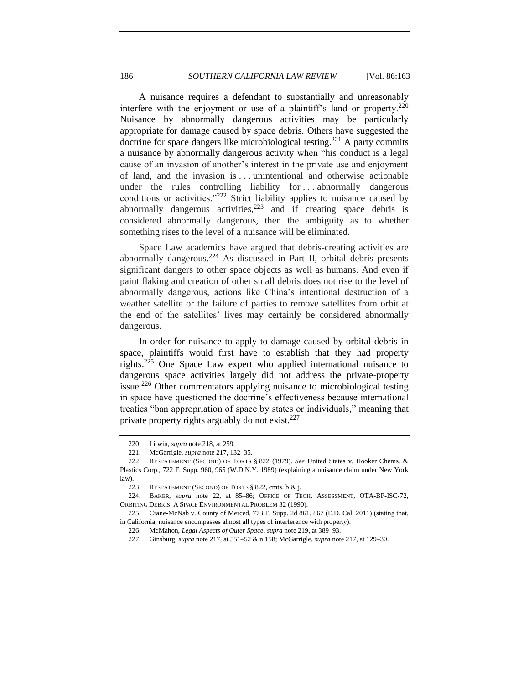A nuisance requires a defendant to substantially and unreasonably interfere with the enjoyment or use of a plaintiff's land or property.<sup>220</sup> Nuisance by abnormally dangerous activities may be particularly appropriate for damage caused by space debris. Others have suggested the doctrine for space dangers like microbiological testing.<sup>221</sup> A party commits a nuisance by abnormally dangerous activity when "his conduct is a legal cause of an invasion of another's interest in the private use and enjoyment of land, and the invasion is . . . unintentional and otherwise actionable under the rules controlling liability for . . . abnormally dangerous conditions or activities."<sup>222</sup> Strict liability applies to nuisance caused by abnormally dangerous activities, $2^{23}$  and if creating space debris is considered abnormally dangerous, then the ambiguity as to whether something rises to the level of a nuisance will be eliminated.

Space Law academics have argued that debris-creating activities are abnormally dangerous. <sup>224</sup> As discussed in Part II, orbital debris presents significant dangers to other space objects as well as humans. And even if paint flaking and creation of other small debris does not rise to the level of abnormally dangerous, actions like China's intentional destruction of a weather satellite or the failure of parties to remove satellites from orbit at the end of the satellites' lives may certainly be considered abnormally dangerous.

In order for nuisance to apply to damage caused by orbital debris in space, plaintiffs would first have to establish that they had property rights.<sup>225</sup> One Space Law expert who applied international nuisance to dangerous space activities largely did not address the private-property issue.<sup>226</sup> Other commentators applying nuisance to microbiological testing in space have questioned the doctrine's effectiveness because international treaties "ban appropriation of space by states or individuals," meaning that private property rights arguably do not exist.<sup>227</sup>

<sup>220.</sup> Litwin, *supra* not[e 218,](#page-22-1) at 259.

<sup>221.</sup> McGarrigle, *supra* not[e 217,](#page-22-2) 132–35.

<sup>222.</sup> RESTATEMENT (SECOND) OF TORTS § 822 (1979). *See* United States v. Hooker Chems. & Plastics Corp., 722 F. Supp. 960, 965 (W.D.N.Y. 1989) (explaining a nuisance claim under New York law).

<sup>223.</sup> RESTATEMENT (SECOND) OF TORTS § 822, cmts. b & j.

<sup>224.</sup> BAKER, *supra* note [22,](#page-3-2) at 85–86; OFFICE OF TECH. ASSESSMENT, OTA-BP-ISC-72, ORBITING DEBRIS: A SPACE ENVIRONMENTAL PROBLEM 32 (1990).

<sup>225.</sup> Crane-McNab v. County of Merced, 773 F. Supp. 2d 861, 867 (E.D. Cal. 2011) (stating that, in California, nuisance encompasses almost all types of interference with property).

<sup>226.</sup> McMahon, *Legal Aspects of Outer Space*, *supra* not[e 219,](#page-22-3) at 389–93.

<sup>227.</sup> Ginsburg, *supra* note [217,](#page-22-2) at 551–52 & n.158; McGarrigle, *supra* not[e 217,](#page-22-2) at 129–30.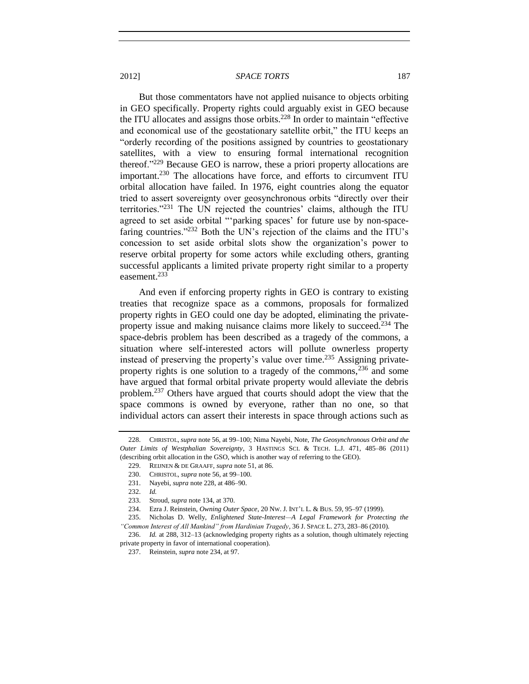<span id="page-24-0"></span>But those commentators have not applied nuisance to objects orbiting in GEO specifically. Property rights could arguably exist in GEO because the ITU allocates and assigns those orbits.<sup>228</sup> In order to maintain "effective and economical use of the geostationary satellite orbit," the ITU keeps an "orderly recording of the positions assigned by countries to geostationary satellites, with a view to ensuring formal international recognition thereof."<sup>229</sup> Because GEO is narrow, these a priori property allocations are important.<sup>230</sup> The allocations have force, and efforts to circumvent ITU orbital allocation have failed. In 1976, eight countries along the equator tried to assert sovereignty over geosynchronous orbits "directly over their territories."<sup>231</sup> The UN rejected the countries' claims, although the ITU agreed to set aside orbital "'parking spaces' for future use by non-spacefaring countries."<sup>232</sup> Both the UN's rejection of the claims and the ITU's concession to set aside orbital slots show the organization's power to reserve orbital property for some actors while excluding others, granting successful applicants a limited private property right similar to a property easement. 233

<span id="page-24-1"></span>And even if enforcing property rights in GEO is contrary to existing treaties that recognize space as a commons, proposals for formalized property rights in GEO could one day be adopted, eliminating the privateproperty issue and making nuisance claims more likely to succeed.<sup>234</sup> The space-debris problem has been described as a tragedy of the commons, a situation where self-interested actors will pollute ownerless property instead of preserving the property's value over time.<sup>235</sup> Assigning privateproperty rights is one solution to a tragedy of the commons,  $236$  and some have argued that formal orbital private property would alleviate the debris problem.<sup>237</sup> Others have argued that courts should adopt the view that the space commons is owned by everyone, rather than no one, so that individual actors can assert their interests in space through actions such as

<sup>228.</sup> CHRISTOL, *supra* not[e 56,](#page-5-4) at 99–100; Nima Nayebi, Note, *The Geosynchronous Orbit and the Outer Limits of Westphalian Sovereignty*, 3 HASTINGS SCI. & TECH. L.J. 471, 485–86 (2011) (describing orbit allocation in the GSO, which is another way of referring to the GEO).

<sup>229.</sup> REIJNEN & DE GRAAFF, *supra* not[e 51,](#page-5-3) at 86.

<sup>230.</sup> CHRISTOL, *supra* note [56,](#page-5-4) at 99–100.

<sup>231.</sup> Nayebi, *supra* not[e 228,](#page-24-0) at 486–90.

<sup>232.</sup> *Id.*

<sup>233.</sup> Stroud, *supra* not[e 134,](#page-11-1) at 370.

<sup>234.</sup> Ezra J. Reinstein, *Owning Outer Space*, 20 NW. J. INT'L L. & BUS. 59, 95–97 (1999).

<sup>235.</sup> Nicholas D. Welly, *Enlightened State-Interest—A Legal Framework for Protecting the "Common Interest of All Mankind" from Hardinian Tragedy*, 36 J. SPACE L. 273, 283–86 (2010).

<sup>236.</sup> *Id.* at 288, 312–13 (acknowledging property rights as a solution, though ultimately rejecting private property in favor of international cooperation).

<sup>237.</sup> Reinstein, *supra* not[e 234,](#page-24-1) at 97.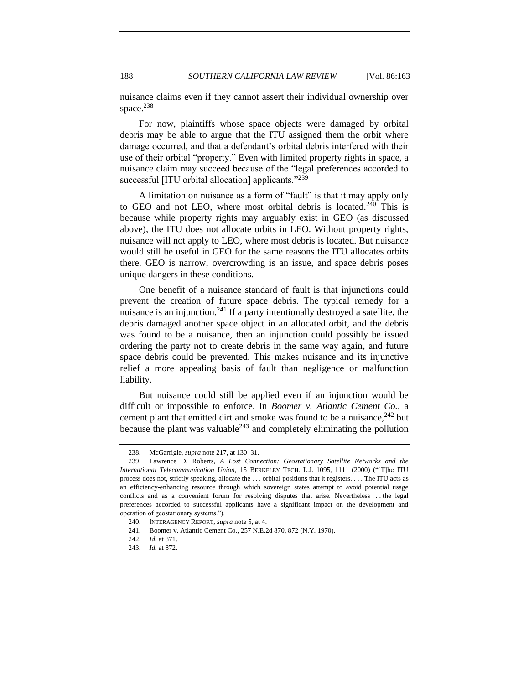nuisance claims even if they cannot assert their individual ownership over space. $238$ 

For now, plaintiffs whose space objects were damaged by orbital debris may be able to argue that the ITU assigned them the orbit where damage occurred, and that a defendant's orbital debris interfered with their use of their orbital "property." Even with limited property rights in space, a nuisance claim may succeed because of the "legal preferences accorded to successful [ITU orbital allocation] applicants."<sup>239</sup>

A limitation on nuisance as a form of "fault" is that it may apply only to GEO and not LEO, where most orbital debris is located.<sup>240</sup> This is because while property rights may arguably exist in GEO (as discussed above), the ITU does not allocate orbits in LEO. Without property rights, nuisance will not apply to LEO, where most debris is located. But nuisance would still be useful in GEO for the same reasons the ITU allocates orbits there. GEO is narrow, overcrowding is an issue, and space debris poses unique dangers in these conditions.

One benefit of a nuisance standard of fault is that injunctions could prevent the creation of future space debris. The typical remedy for a nuisance is an injunction.<sup>241</sup> If a party intentionally destroyed a satellite, the debris damaged another space object in an allocated orbit, and the debris was found to be a nuisance, then an injunction could possibly be issued ordering the party not to create debris in the same way again, and future space debris could be prevented. This makes nuisance and its injunctive relief a more appealing basis of fault than negligence or malfunction liability.

But nuisance could still be applied even if an injunction would be difficult or impossible to enforce. In *Boomer v. Atlantic Cement Co.*, a cement plant that emitted dirt and smoke was found to be a nuisance,  $242$  but because the plant was valuable $243$  and completely eliminating the pollution

<sup>238.</sup> McGarrigle, *supra* not[e 217,](#page-22-2) at 130–31.

<sup>239.</sup> Lawrence D. Roberts, *A Lost Connection: Geostationary Satellite Networks and the International Telecommunication Union*, 15 BERKELEY TECH. L.J. 1095, 1111 (2000) ("[T]he ITU process does not, strictly speaking, allocate the . . . orbital positions that it registers. . . . The ITU acts as an efficiency-enhancing resource through which sovereign states attempt to avoid potential usage conflicts and as a convenient forum for resolving disputes that arise. Nevertheless . . . the legal preferences accorded to successful applicants have a significant impact on the development and operation of geostationary systems.").

<sup>240.</sup> INTERAGENCY REPORT, *supra* not[e 5,](#page-1-2) at 4.

<sup>241.</sup> Boomer v. Atlantic Cement Co., 257 N.E.2d 870, 872 (N.Y. 1970).

<sup>242.</sup> *Id.* at 871.

<sup>243.</sup> *Id.* at 872.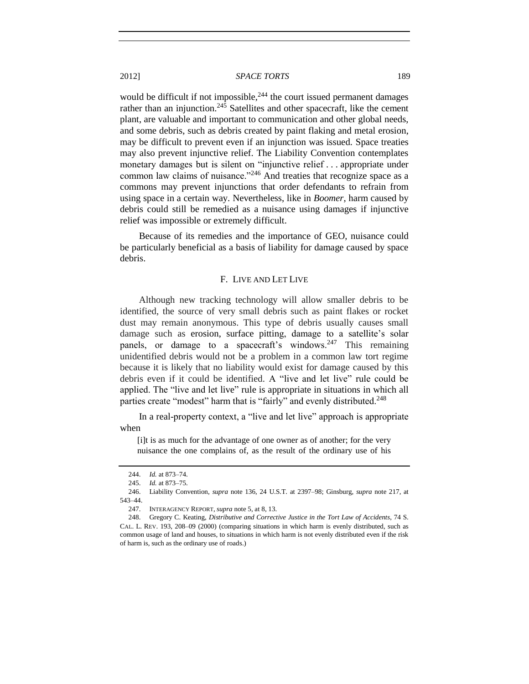would be difficult if not impossible,  $244$  the court issued permanent damages rather than an injunction.<sup>245</sup> Satellites and other spacecraft, like the cement plant, are valuable and important to communication and other global needs, and some debris, such as debris created by paint flaking and metal erosion, may be difficult to prevent even if an injunction was issued. Space treaties may also prevent injunctive relief. The Liability Convention contemplates monetary damages but is silent on "injunctive relief . . . appropriate under common law claims of nuisance.<sup>"246</sup> And treaties that recognize space as a commons may prevent injunctions that order defendants to refrain from using space in a certain way. Nevertheless, like in *Boomer*, harm caused by debris could still be remedied as a nuisance using damages if injunctive

<span id="page-26-0"></span>Because of its remedies and the importance of GEO, nuisance could be particularly beneficial as a basis of liability for damage caused by space debris.

#### F. LIVE AND LET LIVE

Although new tracking technology will allow smaller debris to be identified, the source of very small debris such as paint flakes or rocket dust may remain anonymous. This type of debris usually causes small damage such as erosion, surface pitting, damage to a satellite's solar panels, or damage to a spacecraft's windows.<sup>247</sup> This remaining unidentified debris would not be a problem in a common law tort regime because it is likely that no liability would exist for damage caused by this debris even if it could be identified. A "live and let live" rule could be applied. The "live and let live" rule is appropriate in situations in which all parties create "modest" harm that is "fairly" and evenly distributed.<sup>248</sup>

In a real-property context, a "live and let live" approach is appropriate when

[i]t is as much for the advantage of one owner as of another; for the very nuisance the one complains of, as the result of the ordinary use of his

relief was impossible or extremely difficult.

<sup>244.</sup> *Id.* at 873–74.

<sup>245.</sup> *Id.* at 873–75.

<sup>246.</sup> Liability Convention, *supra* note [136,](#page-12-2) 24 U.S.T. at 2397–98; Ginsburg, *supra* note [217,](#page-22-2) at 543–44.

<sup>247.</sup> INTERAGENCY REPORT, *supra* not[e 5,](#page-1-2) at 8, 13.

<sup>248.</sup> Gregory C. Keating, *Distributive and Corrective Justice in the Tort Law of Accidents*, 74 S. CAL. L. REV. 193, 208–09 (2000) (comparing situations in which harm is evenly distributed, such as common usage of land and houses, to situations in which harm is not evenly distributed even if the risk of harm is, such as the ordinary use of roads.)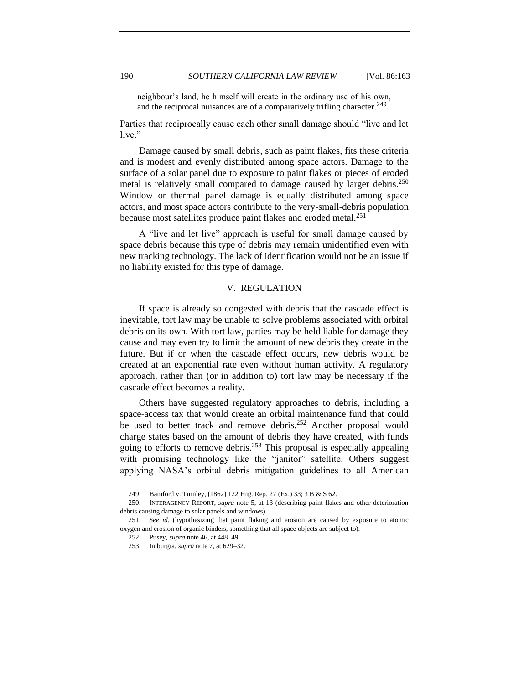neighbour's land, he himself will create in the ordinary use of his own, and the reciprocal nuisances are of a comparatively trifling character.<sup>249</sup>

Parties that reciprocally cause each other small damage should "live and let live."

Damage caused by small debris, such as paint flakes, fits these criteria and is modest and evenly distributed among space actors. Damage to the surface of a solar panel due to exposure to paint flakes or pieces of eroded metal is relatively small compared to damage caused by larger debris.<sup>250</sup> Window or thermal panel damage is equally distributed among space actors, and most space actors contribute to the very-small-debris population because most satellites produce paint flakes and eroded metal.<sup>251</sup>

A "live and let live" approach is useful for small damage caused by space debris because this type of debris may remain unidentified even with new tracking technology. The lack of identification would not be an issue if no liability existed for this type of damage.

#### V. REGULATION

<span id="page-27-0"></span>If space is already so congested with debris that the cascade effect is inevitable, tort law may be unable to solve problems associated with orbital debris on its own. With tort law, parties may be held liable for damage they cause and may even try to limit the amount of new debris they create in the future. But if or when the cascade effect occurs, new debris would be created at an exponential rate even without human activity. A regulatory approach, rather than (or in addition to) tort law may be necessary if the cascade effect becomes a reality.

Others have suggested regulatory approaches to debris, including a space-access tax that would create an orbital maintenance fund that could be used to better track and remove debris.<sup>252</sup> Another proposal would charge states based on the amount of debris they have created, with funds going to efforts to remove debris.<sup>253</sup> This proposal is especially appealing with promising technology like the "janitor" satellite. Others suggest applying NASA's orbital debris mitigation guidelines to all American

<sup>249.</sup> Bamford v. Turnley, (1862) 122 Eng. Rep. 27 (Ex.) 33; 3 B & S 62.

<sup>250.</sup> INTERAGENCY REPORT, *supra* note [5,](#page-1-2) at 13 (describing paint flakes and other deterioration debris causing damage to solar panels and windows).

<sup>251.</sup> *See id.* (hypothesizing that paint flaking and erosion are caused by exposure to atomic oxygen and erosion of organic binders, something that all space objects are subject to).

<sup>252.</sup> Pusey, *supra* not[e 46,](#page-5-2) at 448–49.

<sup>253.</sup> Imburgia, *supra* not[e 7,](#page-1-3) at 629–32.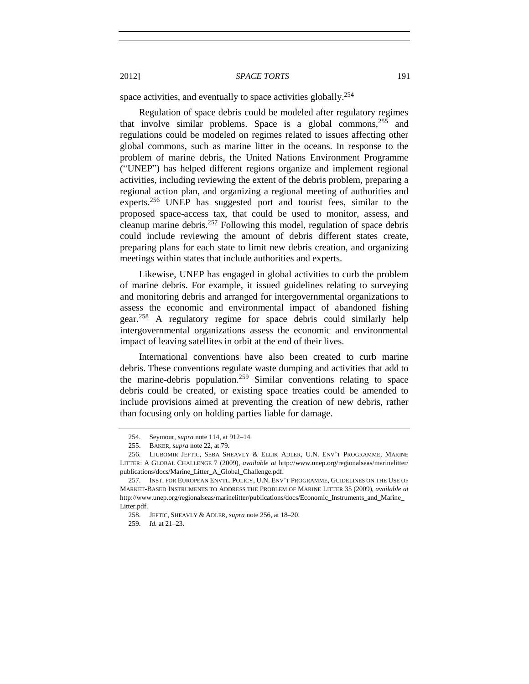space activities, and eventually to space activities globally.<sup>254</sup>

Regulation of space debris could be modeled after regulatory regimes that involve similar problems. Space is a global commons,<sup>255</sup> and regulations could be modeled on regimes related to issues affecting other global commons, such as marine litter in the oceans. In response to the problem of marine debris, the United Nations Environment Programme ("UNEP") has helped different regions organize and implement regional activities, including reviewing the extent of the debris problem, preparing a regional action plan, and organizing a regional meeting of authorities and experts.<sup>256</sup> UNEP has suggested port and tourist fees, similar to the proposed space-access tax, that could be used to monitor, assess, and cleanup marine debris. $257$  Following this model, regulation of space debris could include reviewing the amount of debris different states create, preparing plans for each state to limit new debris creation, and organizing meetings within states that include authorities and experts.

<span id="page-28-0"></span>Likewise, UNEP has engaged in global activities to curb the problem of marine debris. For example, it issued guidelines relating to surveying and monitoring debris and arranged for intergovernmental organizations to assess the economic and environmental impact of abandoned fishing gear.<sup>258</sup> A regulatory regime for space debris could similarly help intergovernmental organizations assess the economic and environmental impact of leaving satellites in orbit at the end of their lives.

International conventions have also been created to curb marine debris. These conventions regulate waste dumping and activities that add to the marine-debris population.<sup>259</sup> Similar conventions relating to space debris could be created, or existing space treaties could be amended to include provisions aimed at preventing the creation of new debris, rather than focusing only on holding parties liable for damage.

<sup>254.</sup> Seymour, *supra* not[e 114,](#page-9-0) at 912–14.

<sup>255.</sup> BAKER, *supra* not[e 22,](#page-3-2) at 79.

<sup>256.</sup> LJUBOMIR JEFTIC, SEBA SHEAVLY & ELLIK ADLER, U.N. ENV'T PROGRAMME, MARINE LITTER: A GLOBAL CHALLENGE 7 (2009), *available at* http://www.unep.org/regionalseas/marinelitter/ publications/docs/Marine\_Litter\_A\_Global\_Challenge.pdf.

<sup>257.</sup> INST. FOR EUROPEAN ENVTL. POLICY, U.N. ENV'T PROGRAMME, GUIDELINES ON THE USE OF MARKET-BASED INSTRUMENTS TO ADDRESS THE PROBLEM OF MARINE LITTER 35 (2009), *available at* http://www.unep.org/regionalseas/marinelitter/publications/docs/Economic\_Instruments\_and\_Marine\_ Litter.pdf.

<sup>258.</sup> JEFTIC, SHEAVLY & ADLER, *supra* not[e 256,](#page-28-0) at 18–20.

<sup>259.</sup> *Id.* at 21–23.